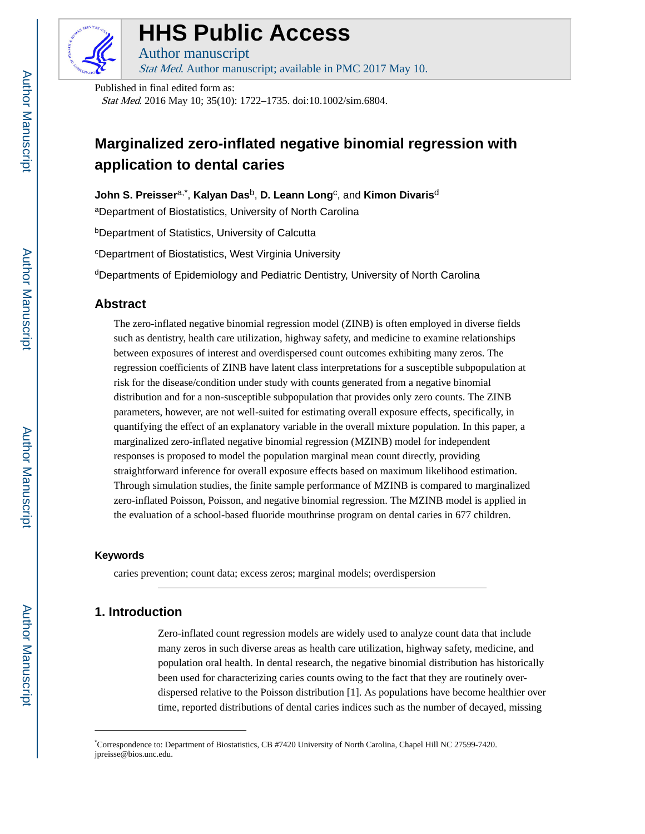

# **HHS Public Access**

Author manuscript Stat Med. Author manuscript; available in PMC 2017 May 10.

Published in final edited form as:

Stat Med. 2016 May 10; 35(10): 1722–1735. doi:10.1002/sim.6804.

## **Marginalized zero-inflated negative binomial regression with application to dental caries**

**John S. Preisser**a,\* , **Kalyan Das**b, **D. Leann Long**<sup>c</sup> , and **Kimon Divaris**<sup>d</sup>

<sup>a</sup>Department of Biostatistics, University of North Carolina

<sup>b</sup>Department of Statistics, University of Calcutta

<sup>c</sup>Department of Biostatistics, West Virginia University

<sup>d</sup>Departments of Epidemiology and Pediatric Dentistry, University of North Carolina

### **Abstract**

The zero-inflated negative binomial regression model (ZINB) is often employed in diverse fields such as dentistry, health care utilization, highway safety, and medicine to examine relationships between exposures of interest and overdispersed count outcomes exhibiting many zeros. The regression coefficients of ZINB have latent class interpretations for a susceptible subpopulation at risk for the disease/condition under study with counts generated from a negative binomial distribution and for a non-susceptible subpopulation that provides only zero counts. The ZINB parameters, however, are not well-suited for estimating overall exposure effects, specifically, in quantifying the effect of an explanatory variable in the overall mixture population. In this paper, a marginalized zero-inflated negative binomial regression (MZINB) model for independent responses is proposed to model the population marginal mean count directly, providing straightforward inference for overall exposure effects based on maximum likelihood estimation. Through simulation studies, the finite sample performance of MZINB is compared to marginalized zero-inflated Poisson, Poisson, and negative binomial regression. The MZINB model is applied in the evaluation of a school-based fluoride mouthrinse program on dental caries in 677 children.

#### **Keywords**

caries prevention; count data; excess zeros; marginal models; overdispersion

## **1. Introduction**

Zero-inflated count regression models are widely used to analyze count data that include many zeros in such diverse areas as health care utilization, highway safety, medicine, and population oral health. In dental research, the negative binomial distribution has historically been used for characterizing caries counts owing to the fact that they are routinely overdispersed relative to the Poisson distribution [1]. As populations have become healthier over time, reported distributions of dental caries indices such as the number of decayed, missing

<sup>\*</sup>Correspondence to: Department of Biostatistics, CB #7420 University of North Carolina, Chapel Hill NC 27599-7420. jpreisse@bios.unc.edu.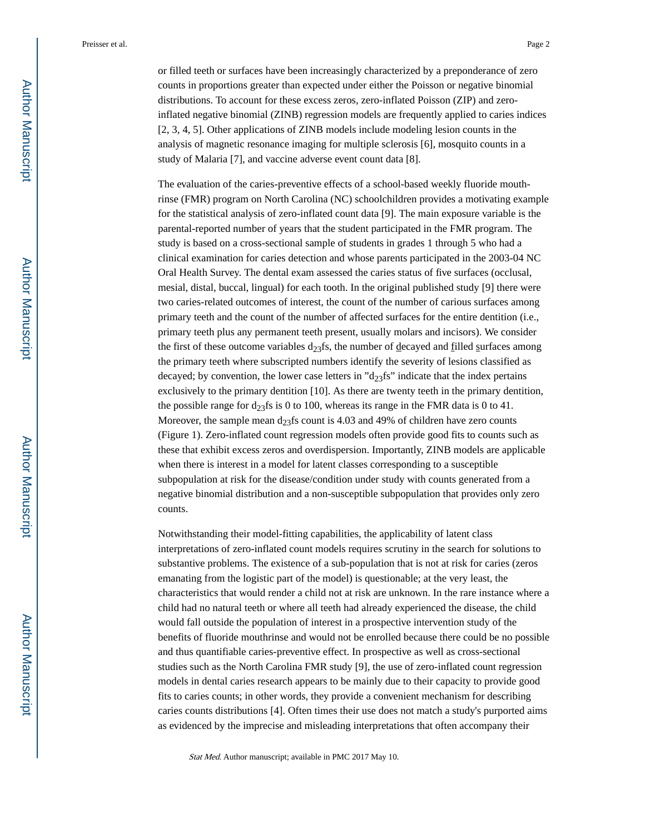or filled teeth or surfaces have been increasingly characterized by a preponderance of zero counts in proportions greater than expected under either the Poisson or negative binomial distributions. To account for these excess zeros, zero-inflated Poisson (ZIP) and zeroinflated negative binomial (ZINB) regression models are frequently applied to caries indices [2, 3, 4, 5]. Other applications of ZINB models include modeling lesion counts in the analysis of magnetic resonance imaging for multiple sclerosis [6], mosquito counts in a study of Malaria [7], and vaccine adverse event count data [8].

The evaluation of the caries-preventive effects of a school-based weekly fluoride mouthrinse (FMR) program on North Carolina (NC) schoolchildren provides a motivating example for the statistical analysis of zero-inflated count data [9]. The main exposure variable is the parental-reported number of years that the student participated in the FMR program. The study is based on a cross-sectional sample of students in grades 1 through 5 who had a clinical examination for caries detection and whose parents participated in the 2003-04 NC Oral Health Survey. The dental exam assessed the caries status of five surfaces (occlusal, mesial, distal, buccal, lingual) for each tooth. In the original published study [9] there were two caries-related outcomes of interest, the count of the number of carious surfaces among primary teeth and the count of the number of affected surfaces for the entire dentition (i.e., primary teeth plus any permanent teeth present, usually molars and incisors). We consider the first of these outcome variables  $d_{23}$ fs, the number of decayed and filled surfaces among the primary teeth where subscripted numbers identify the severity of lesions classified as decayed; by convention, the lower case letters in " $d_{23}$ fs" indicate that the index pertains exclusively to the primary dentition [10]. As there are twenty teeth in the primary dentition, the possible range for  $d_{23}$ fs is 0 to 100, whereas its range in the FMR data is 0 to 41. Moreover, the sample mean  $d_{23}$ fs count is 4.03 and 49% of children have zero counts (Figure 1). Zero-inflated count regression models often provide good fits to counts such as these that exhibit excess zeros and overdispersion. Importantly, ZINB models are applicable when there is interest in a model for latent classes corresponding to a susceptible subpopulation at risk for the disease/condition under study with counts generated from a negative binomial distribution and a non-susceptible subpopulation that provides only zero counts.

Notwithstanding their model-fitting capabilities, the applicability of latent class interpretations of zero-inflated count models requires scrutiny in the search for solutions to substantive problems. The existence of a sub-population that is not at risk for caries (zeros emanating from the logistic part of the model) is questionable; at the very least, the characteristics that would render a child not at risk are unknown. In the rare instance where a child had no natural teeth or where all teeth had already experienced the disease, the child would fall outside the population of interest in a prospective intervention study of the benefits of fluoride mouthrinse and would not be enrolled because there could be no possible and thus quantifiable caries-preventive effect. In prospective as well as cross-sectional studies such as the North Carolina FMR study [9], the use of zero-inflated count regression models in dental caries research appears to be mainly due to their capacity to provide good fits to caries counts; in other words, they provide a convenient mechanism for describing caries counts distributions [4]. Often times their use does not match a study's purported aims as evidenced by the imprecise and misleading interpretations that often accompany their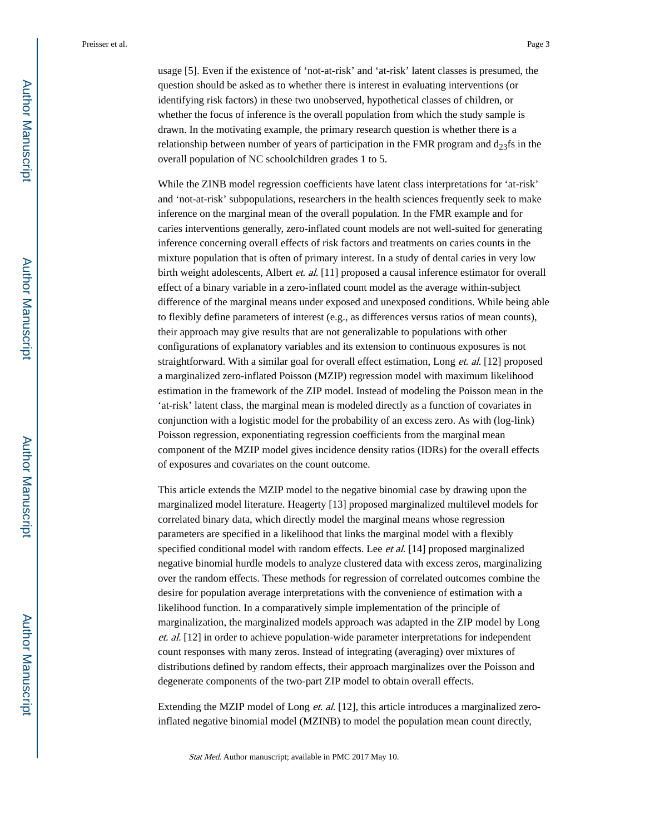usage [5]. Even if the existence of 'not-at-risk' and 'at-risk' latent classes is presumed, the question should be asked as to whether there is interest in evaluating interventions (or identifying risk factors) in these two unobserved, hypothetical classes of children, or whether the focus of inference is the overall population from which the study sample is drawn. In the motivating example, the primary research question is whether there is a relationship between number of years of participation in the FMR program and  $d_{23}$ fs in the overall population of NC schoolchildren grades 1 to 5.

While the ZINB model regression coefficients have latent class interpretations for 'at-risk' and 'not-at-risk' subpopulations, researchers in the health sciences frequently seek to make inference on the marginal mean of the overall population. In the FMR example and for caries interventions generally, zero-inflated count models are not well-suited for generating inference concerning overall effects of risk factors and treatments on caries counts in the mixture population that is often of primary interest. In a study of dental caries in very low birth weight adolescents, Albert et. al. [11] proposed a causal inference estimator for overall effect of a binary variable in a zero-inflated count model as the average within-subject difference of the marginal means under exposed and unexposed conditions. While being able to flexibly define parameters of interest (e.g., as differences versus ratios of mean counts), their approach may give results that are not generalizable to populations with other configurations of explanatory variables and its extension to continuous exposures is not straightforward. With a similar goal for overall effect estimation, Long *et. al.* [12] proposed a marginalized zero-inflated Poisson (MZIP) regression model with maximum likelihood estimation in the framework of the ZIP model. Instead of modeling the Poisson mean in the 'at-risk' latent class, the marginal mean is modeled directly as a function of covariates in conjunction with a logistic model for the probability of an excess zero. As with (log-link) Poisson regression, exponentiating regression coefficients from the marginal mean component of the MZIP model gives incidence density ratios (IDRs) for the overall effects of exposures and covariates on the count outcome.

This article extends the MZIP model to the negative binomial case by drawing upon the marginalized model literature. Heagerty [13] proposed marginalized multilevel models for correlated binary data, which directly model the marginal means whose regression parameters are specified in a likelihood that links the marginal model with a flexibly specified conditional model with random effects. Lee et al. [14] proposed marginalized negative binomial hurdle models to analyze clustered data with excess zeros, marginalizing over the random effects. These methods for regression of correlated outcomes combine the desire for population average interpretations with the convenience of estimation with a likelihood function. In a comparatively simple implementation of the principle of marginalization, the marginalized models approach was adapted in the ZIP model by Long et. al. [12] in order to achieve population-wide parameter interpretations for independent count responses with many zeros. Instead of integrating (averaging) over mixtures of distributions defined by random effects, their approach marginalizes over the Poisson and degenerate components of the two-part ZIP model to obtain overall effects.

Extending the MZIP model of Long et. al. [12], this article introduces a marginalized zeroinflated negative binomial model (MZINB) to model the population mean count directly,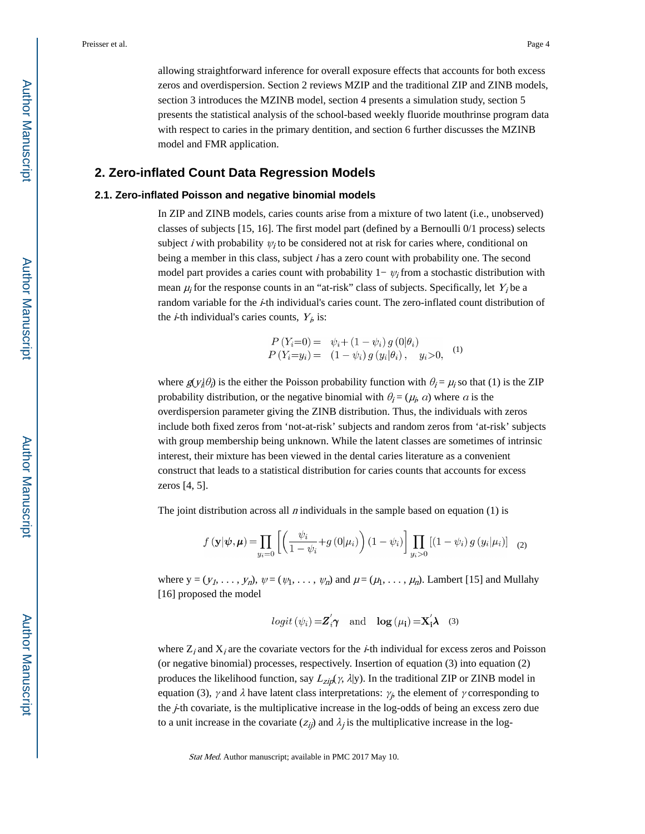allowing straightforward inference for overall exposure effects that accounts for both excess zeros and overdispersion. Section 2 reviews MZIP and the traditional ZIP and ZINB models, section 3 introduces the MZINB model, section 4 presents a simulation study, section 5

presents the statistical analysis of the school-based weekly fluoride mouthrinse program data with respect to caries in the primary dentition, and section 6 further discusses the MZINB model and FMR application.

#### **2. Zero-inflated Count Data Regression Models**

#### **2.1. Zero-inflated Poisson and negative binomial models**

In ZIP and ZINB models, caries counts arise from a mixture of two latent (i.e., unobserved) classes of subjects [15, 16]. The first model part (defined by a Bernoulli 0/1 process) selects subject *i* with probability  $\psi_i$  to be considered not at risk for caries where, conditional on being a member in this class, subject *i* has a zero count with probability one. The second model part provides a caries count with probability  $1 - \psi_i$  from a stochastic distribution with mean  $\mu_i$  for the response counts in an "at-risk" class of subjects. Specifically, let  $Y_i$  be a random variable for the *i*-th individual's caries count. The zero-inflated count distribution of the *i*-th individual's caries counts,  $Y_i$  is:

$$
P(Y_i=0) = \psi_i + (1 - \psi_i) g(0|\theta_i)
$$
  
\n
$$
P(Y_i=y_i) = (1 - \psi_i) g(y_i|\theta_i), y_i > 0,
$$
 (1)

where  $g(y_i|\theta_i)$  is the either the Poisson probability function with  $\theta_i = \mu_i$  so that (1) is the ZIP probability distribution, or the negative binomial with  $\theta_i = (\mu_i, a)$  where a is the overdispersion parameter giving the ZINB distribution. Thus, the individuals with zeros include both fixed zeros from 'not-at-risk' subjects and random zeros from 'at-risk' subjects with group membership being unknown. While the latent classes are sometimes of intrinsic interest, their mixture has been viewed in the dental caries literature as a convenient construct that leads to a statistical distribution for caries counts that accounts for excess zeros [4, 5].

The joint distribution across all *n* individuals in the sample based on equation (1) is

$$
f(\mathbf{y}|\boldsymbol{\psi}, \boldsymbol{\mu}) = \prod_{y_i=0} \left[ \left( \frac{\psi_i}{1-\psi_i} + g(0|\mu_i) \right) (1-\psi_i) \right] \prod_{y_i>0} \left[ (1-\psi_i) g(y_i|\mu_i) \right] \tag{2}
$$

where  $y = (y_1, \ldots, y_n)$ ,  $\psi = (\psi_1, \ldots, \psi_n)$  and  $\mu = (\mu_1, \ldots, \mu_n)$ . Lambert [15] and Mullahy [16] proposed the model

$$
logit (\psi_i) = \mathbf{Z}'_i \boldsymbol{\gamma}
$$
 and  $log (\mu_i) = \mathbf{X}'_i \boldsymbol{\lambda}$  (3)

where  $Z_i$  and  $X_i$  are the covariate vectors for the *i*-th individual for excess zeros and Poisson (or negative binomial) processes, respectively. Insertion of equation (3) into equation (2) produces the likelihood function, say  $L_{zip}(\gamma, \lambda | y)$ . In the traditional ZIP or ZINB model in equation (3),  $\gamma$  and  $\lambda$  have latent class interpretations:  $\gamma_j$ , the element of  $\gamma$  corresponding to the  $j$ -th covariate, is the multiplicative increase in the log-odds of being an excess zero due to a unit increase in the covariate  $(z_{ij})$  and  $\lambda_j$  is the multiplicative increase in the log-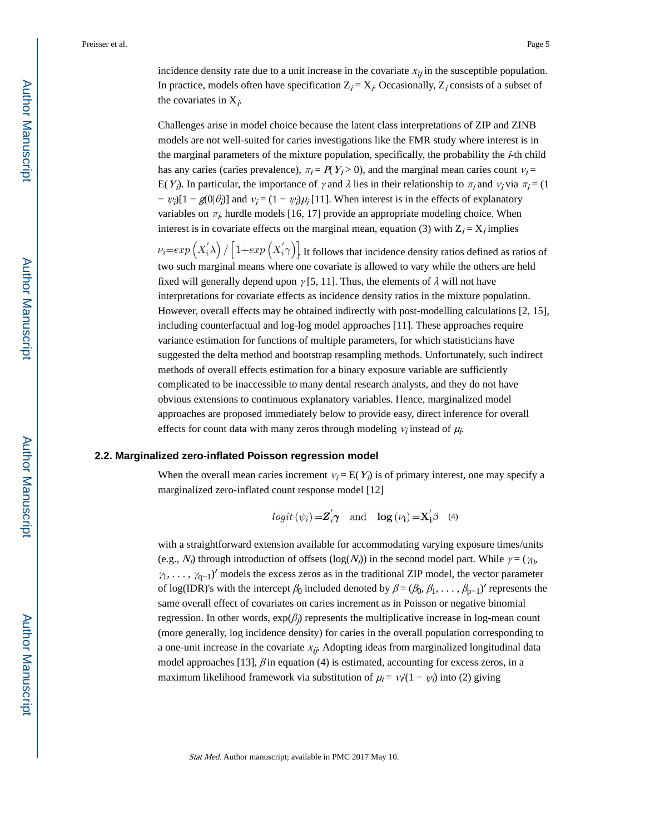incidence density rate due to a unit increase in the covariate  $x_{ij}$  in the susceptible population. In practice, models often have specification  $Z_i = X_i$ . Occasionally,  $Z_i$  consists of a subset of the covariates in  $X_i$ .

Challenges arise in model choice because the latent class interpretations of ZIP and ZINB models are not well-suited for caries investigations like the FMR study where interest is in the marginal parameters of the mixture population, specifically, the probability the  $\dot{i}$ -th child has any caries (caries prevalence),  $\pi_i = P(Y_i > 0)$ , and the marginal mean caries count  $v_i =$ E(Y<sub>i</sub>). In particular, the importance of γ and  $\lambda$  lies in their relationship to  $\pi_i$  and  $\nu_i$  via  $\pi_i$  = (1)  $- \psi_j[1 - g(0|\theta_j)]$  and  $v_j = (1 - \psi_j)\mu_j[11]$ . When interest is in the effects of explanatory variables on  $\pi_{i}$ , hurdle models [16, 17] provide an appropriate modeling choice. When interest is in covariate effects on the marginal mean, equation (3) with  $Z_i = X_i$  implies  $\nu_i=exp(X_i'\lambda)/|1+exp(X_i'\gamma)|$ . It follows that incidence density ratios defined as ratios of two such marginal means where one covariate is allowed to vary while the others are held fixed will generally depend upon  $\gamma$  [5, 11]. Thus, the elements of  $\lambda$  will not have interpretations for covariate effects as incidence density ratios in the mixture population. However, overall effects may be obtained indirectly with post-modelling calculations [2, 15], including counterfactual and log-log model approaches [11]. These approaches require variance estimation for functions of multiple parameters, for which statisticians have suggested the delta method and bootstrap resampling methods. Unfortunately, such indirect methods of overall effects estimation for a binary exposure variable are sufficiently complicated to be inaccessible to many dental research analysts, and they do not have obvious extensions to continuous explanatory variables. Hence, marginalized model

approaches are proposed immediately below to provide easy, direct inference for overall effects for count data with many zeros through modeling  $v_i$  instead of  $\mu_i$ .

#### **2.2. Marginalized zero-inflated Poisson regression model**

When the overall mean caries increment  $v_i = E(Y_i)$  is of primary interest, one may specify a marginalized zero-inflated count response model [12]

$$
logit (\psi_i) = \mathbf{Z}_i' \boldsymbol{\gamma}
$$
 and  $log (\nu_i) = \mathbf{X}_i' \boldsymbol{\beta}$  (4)

with a straightforward extension available for accommodating varying exposure times/units (e.g.,  $N_i$ ) through introduction of offsets (log( $N_i$ )) in the second model part. While  $\gamma = (\gamma_0, \gamma_1)$  $\gamma_1, \ldots, \gamma_{q-1}$ <sup> $\gamma$ </sup> models the excess zeros as in the traditional ZIP model, the vector parameter of log(IDR)'s with the intercept  $\beta_0$  included denoted by  $\beta = (\beta_0, \beta_1, \dots, \beta_{p-1})'$  represents the same overall effect of covariates on caries increment as in Poisson or negative binomial regression. In other words,  $exp(\beta_j)$  represents the multiplicative increase in log-mean count (more generally, log incidence density) for caries in the overall population corresponding to a one-unit increase in the covariate  $x_{ij}$ . Adopting ideas from marginalized longitudinal data model approaches [13],  $\beta$  in equation (4) is estimated, accounting for excess zeros, in a maximum likelihood framework via substitution of  $\mu_i = v_i/(1 - \psi_i)$  into (2) giving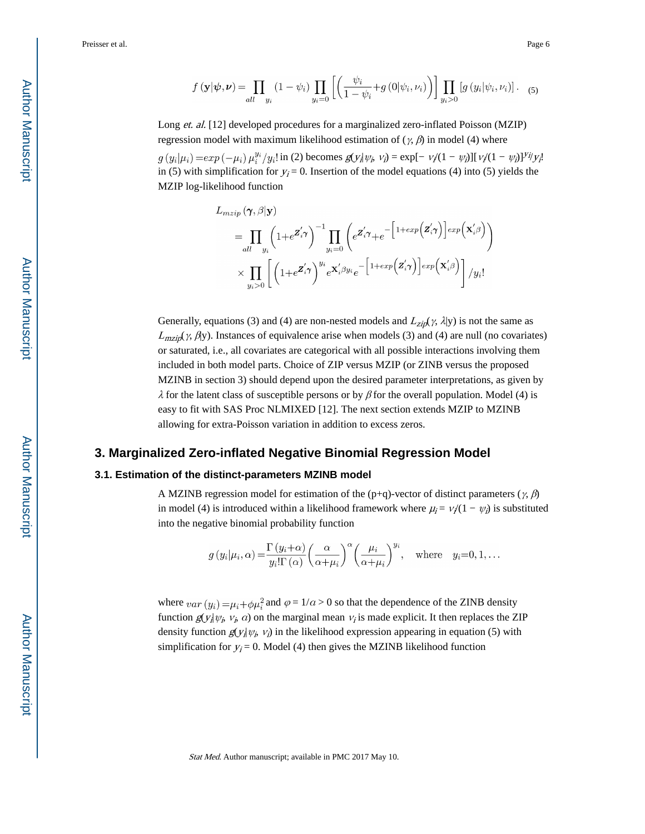Long et. al. [12] developed procedures for a marginalized zero-inflated Poisson (MZIP) regression model with maximum likelihood estimation of ( $\gamma$ ,  $\beta$ ) in model (4) where

 $\sin(2)$  becomes  $g(y_i|\psi_i, v_i) = \exp[-v_i/(1 - \psi_i)][v_i/(1 - \psi_i)]^{y_i/y_i}$ in (5) with simplification for  $y_i = 0$ . Insertion of the model equations (4) into (5) yields the MZIP log-likelihood function

Generally, equations (3) and (4) are non-nested models and  $L_{zip}(\gamma, \lambda | y)$  is not the same as  $L_{\text{mzip}}(\gamma, \beta y)$ . Instances of equivalence arise when models (3) and (4) are null (no covariates) or saturated, i.e., all covariates are categorical with all possible interactions involving them included in both model parts. Choice of ZIP versus MZIP (or ZINB versus the proposed MZINB in section 3) should depend upon the desired parameter interpretations, as given by  $\lambda$  for the latent class of susceptible persons or by  $\beta$  for the overall population. Model (4) is easy to fit with SAS Proc NLMIXED [12]. The next section extends MZIP to MZINB allowing for extra-Poisson variation in addition to excess zeros.

#### **3. Marginalized Zero-inflated Negative Binomial Regression Model**

#### **3.1. Estimation of the distinct-parameters MZINB model**

A MZINB regression model for estimation of the (p+q)-vector of distinct parameters ( $\gamma$ ,  $\beta$ ) in model (4) is introduced within a likelihood framework where  $\mu_i = v/(1 - \psi_i)$  is substituted into the negative binomial probability function

$$
g(y_i|\mu_i,\alpha) = \frac{\Gamma(y_i+\alpha)}{y_i!\Gamma(\alpha)} \left(\frac{\alpha}{\alpha+\mu_i}\right)^{\alpha} \left(\frac{\mu_i}{\alpha+\mu_i}\right)^{y_i}, \text{ where } y_i=0,1,\dots
$$

where  $var(y_i) = \mu_i + \phi \mu_i^2$  and  $\varphi = 1/a > 0$  so that the dependence of the ZINB density function  $g(y_i|\psi_i, v_i, a)$  on the marginal mean  $v_i$  is made explicit. It then replaces the ZIP density function  $g(y_i|\psi_i, v_i)$  in the likelihood expression appearing in equation (5) with simplification for  $y_i = 0$ . Model (4) then gives the MZINB likelihood function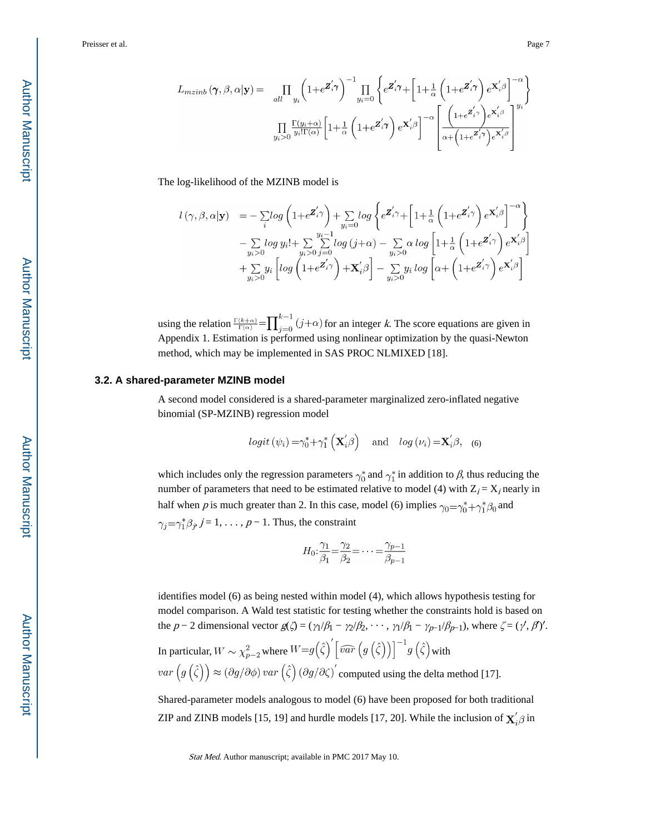$$
L_{mzinb}(\gamma, \beta, \alpha | \mathbf{y}) = \prod_{all} \prod_{y_i} \left( 1 + e^{\mathbf{Z}_i' \gamma} \right)^{-1} \prod_{y_i=0} \left\{ e^{\mathbf{Z}_i' \gamma} + \left[ 1 + \frac{1}{\alpha} \left( 1 + e^{\mathbf{Z}_i' \gamma} \right) e^{\mathbf{X}_i' \beta} \right]^{-\alpha} \right\}
$$

$$
\prod_{y_i > 0} \frac{\Gamma(y_i + \alpha)}{y_i! \Gamma(\alpha)} \left[ 1 + \frac{1}{\alpha} \left( 1 + e^{\mathbf{Z}_i' \gamma} \right) e^{\mathbf{X}_i' \beta} \right]^{-\alpha} \left[ \frac{\left( 1 + e^{\mathbf{Z}_i' \gamma} \right) e^{\mathbf{X}_i' \beta}}{\alpha + \left( 1 + e^{\mathbf{Z}_i' \gamma} \right) e^{\mathbf{X}_i' \beta}} \right]^{y_i}
$$

The log-likelihood of the MZINB model is

$$
\begin{array}{ll} l\left(\gamma,\beta,\alpha|\mathbf{y}\right) & = -\sum\limits_{i}log\left(1+e^{\pmb{Z}_{i}^{\prime}\gamma}\right)+\sum\limits_{y_{i}=0}log\left\{e^{\pmb{Z}_{i}^{\prime}\gamma}+\left[1+\frac{1}{\alpha}\left(1+e^{\pmb{Z}_{i}^{\prime}\gamma}\right)e^{\pmb{X}_{i}^{\prime}\beta}\right]^{-\alpha}\right\} \\ & -\sum\limits_{y_{i}>0}log\,y_{i}!+\sum\limits_{y_{i}>0}\sum\limits_{j=0}^{y_{i}-1}log\left(j+\alpha\right)-\sum\limits_{y_{i}>0}\alpha\,log\left[1+\frac{1}{\alpha}\left(1+e^{\pmb{Z}_{i}^{\prime}\gamma}\right)e^{\pmb{X}_{i}^{\prime}\beta}\right] \\ & +\sum\limits_{y_{i}>0}y_{i}\left[log\left(1+e^{\pmb{Z}_{i}^{\prime}\gamma}\right)+\pmb{X}_{i}^{\prime}\beta\right]-\sum\limits_{y_{i}>0}y_{i}\,log\left[\alpha+\left(1+e^{\pmb{Z}_{i}^{\prime}\gamma}\right)e^{\pmb{X}_{i}^{\prime}\beta}\right] \end{array}
$$

using the relation  $\frac{\Gamma(k+\alpha)}{\Gamma(\alpha)} = \prod_{j=0}^{k-1} (j+\alpha)$  for an integer k. The score equations are given in Appendix 1. Estimation is performed using nonlinear optimization by the quasi-Newton method, which may be implemented in SAS PROC NLMIXED [18].

#### **3.2. A shared-parameter MZINB model**

A second model considered is a shared-parameter marginalized zero-inflated negative binomial (SP-MZINB) regression model

$$
logit (\psi_i) = \gamma_0^* + \gamma_1^* (\mathbf{X}_i'\beta)
$$
 and  $log (\nu_i) = \mathbf{X}_i'\beta$ , (6)

which includes only the regression parameters  $\gamma_0^*$  and  $\gamma_1^*$  in addition to  $\beta$ , thus reducing the number of parameters that need to be estimated relative to model (4) with  $Z_i = X_i$  nearly in half when p is much greater than 2. In this case, model (6) implies  $\gamma_0 = \gamma_0^* + \gamma_1^* \beta_0$  and  $\gamma_j = \gamma_1^* \beta_j$ ,  $j = 1, \ldots, p - 1$ . Thus, the constraint

$$
H_0: \frac{\gamma_1}{\beta_1} = \frac{\gamma_2}{\beta_2} = \dots = \frac{\gamma_{p-1}}{\beta_{p-1}}
$$

identifies model (6) as being nested within model (4), which allows hypothesis testing for model comparison. A Wald test statistic for testing whether the constraints hold is based on the  $p-2$  dimensional vector  $g(\zeta) = (\gamma_1/\beta_1 - \gamma_2/\beta_2, \cdots, \gamma_1/\beta_1 - \gamma_{p-1}/\beta_{p-1})$ , where  $\zeta = (\gamma', \beta)'.$ In particular,  $W \sim \chi^2_{p-2}$  where  $W {=} g\!\left(\hat{\zeta}\right)' \! \left[ \widehat{var} \left(g\left(\hat{\zeta}\right)\right) \right]^{-1} \! g\left(\hat{\zeta}\right)$  with  $var(g(\hat{\zeta})) \approx (\partial g/\partial \phi) var(\hat{\zeta}) (\partial g/\partial \zeta)'$  computed using the delta method [17].

Shared-parameter models analogous to model (6) have been proposed for both traditional ZIP and ZINB models [15, 19] and hurdle models [17, 20]. While the inclusion of  ${\bf X}_i' \boldsymbol{\beta}$  in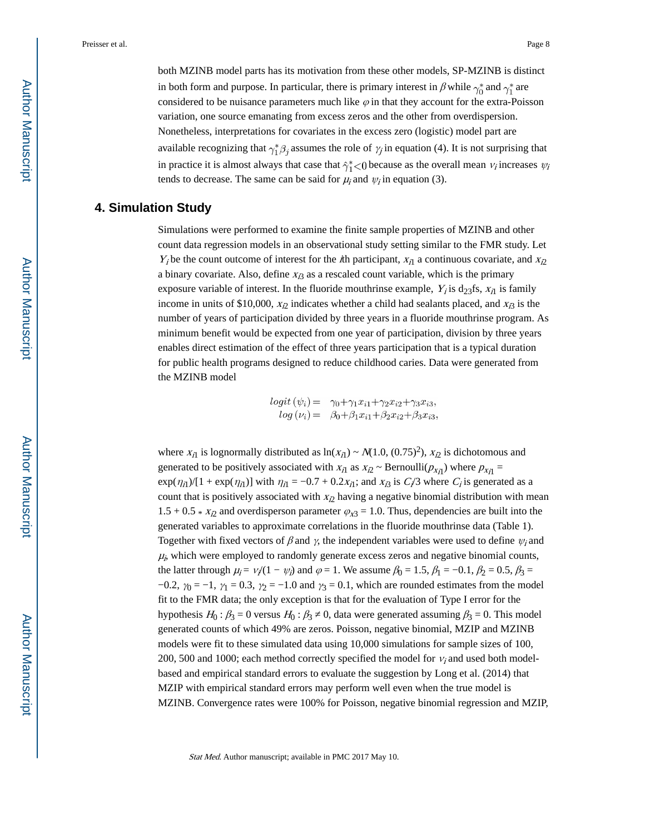both MZINB model parts has its motivation from these other models, SP-MZINB is distinct in both form and purpose. In particular, there is primary interest in  $\beta$  while  $\gamma_0^*$  and  $\gamma_1^*$  are considered to be nuisance parameters much like  $\varphi$  in that they account for the extra-Poisson variation, one source emanating from excess zeros and the other from overdispersion. Nonetheless, interpretations for covariates in the excess zero (logistic) model part are available recognizing that  $\gamma_1^* \beta_j$  assumes the role of  $\gamma_j$  in equation (4). It is not surprising that in practice it is almost always that case that  $\hat{\gamma}_1^* < 0$  because as the overall mean  $v_i$  increases  $\psi_i$ tends to decrease. The same can be said for  $\mu_i$  and  $\psi_i$  in equation (3).

## **4. Simulation Study**

Simulations were performed to examine the finite sample properties of MZINB and other count data regression models in an observational study setting similar to the FMR study. Let  $Y_i$  be the count outcome of interest for the *i*th participant,  $x_{i1}$  a continuous covariate, and  $x_{i2}$ a binary covariate. Also, define  $x_{i3}$  as a rescaled count variable, which is the primary exposure variable of interest. In the fluoride mouthrinse example,  $Y_i$  is  $d_{23}$ fs,  $x_{i1}$  is family income in units of \$10,000,  $x<sub>l</sub>2$  indicates whether a child had sealants placed, and  $x<sub>l</sub>3$  is the number of years of participation divided by three years in a fluoride mouthrinse program. As minimum benefit would be expected from one year of participation, division by three years enables direct estimation of the effect of three years participation that is a typical duration for public health programs designed to reduce childhood caries. Data were generated from the MZINB model

$$
logit (\psi_i) = \gamma_0 + \gamma_1 x_{i1} + \gamma_2 x_{i2} + \gamma_3 x_{i3},
$$
  

$$
log (\nu_i) = \beta_0 + \beta_1 x_{i1} + \beta_2 x_{i2} + \beta_3 x_{i3},
$$

where  $x_{i1}$  is lognormally distributed as  $\ln(x_{i1}) \sim N(1.0, (0.75)^2)$ ,  $x_{i2}$  is dichotomous and generated to be positively associated with  $x_{i1}$  as  $x_{i2} \sim \text{Bernoulli}(p_{x_{i1}})$  where  $p_{x_{i1}} =$  $\exp(\eta_{i1})/[1 + \exp(\eta_{i1})]$  with  $\eta_{i1} = -0.7 + 0.2x_{i1}$ ; and  $x_{i3}$  is  $C/3$  where  $C_i$  is generated as a count that is positively associated with  $x_{i2}$  having a negative binomial distribution with mean  $1.5 + 0.5 * x_{i2}$  and overdisperson parameter  $\varphi_{x3} = 1.0$ . Thus, dependencies are built into the generated variables to approximate correlations in the fluoride mouthrinse data (Table 1). Together with fixed vectors of  $\beta$  and  $\gamma$ , the independent variables were used to define  $\psi_i$  and  $\mu_{i}$ , which were employed to randomly generate excess zeros and negative binomial counts, the latter through  $\mu_i = v_i/(1 - \psi_i)$  and  $\varphi = 1$ . We assume  $\beta_0 = 1.5$ ,  $\beta_1 = -0.1$ ,  $\beta_2 = 0.5$ ,  $\beta_3 =$ −0.2,  $\gamma_0$  = −1,  $\gamma_1$  = 0.3,  $\gamma_2$  = −1.0 and  $\gamma_3$  = 0.1, which are rounded estimates from the model fit to the FMR data; the only exception is that for the evaluation of Type I error for the hypothesis  $H_0: \beta_3 = 0$  versus  $H_0: \beta_3 = 0$ , data were generated assuming  $\beta_3 = 0$ . This model generated counts of which 49% are zeros. Poisson, negative binomial, MZIP and MZINB models were fit to these simulated data using 10,000 simulations for sample sizes of 100, 200, 500 and 1000; each method correctly specified the model for  $v_i$  and used both modelbased and empirical standard errors to evaluate the suggestion by Long et al. (2014) that MZIP with empirical standard errors may perform well even when the true model is MZINB. Convergence rates were 100% for Poisson, negative binomial regression and MZIP,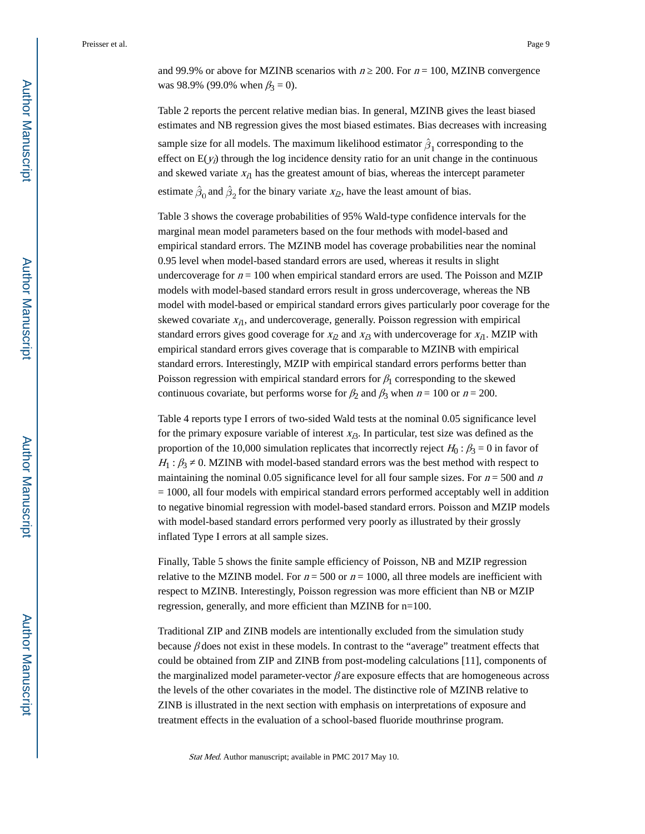and 99.9% or above for MZINB scenarios with  $n \approx 200$ . For  $n = 100$ , MZINB convergence was 98.9% (99.0% when  $\beta_3 = 0$ ).

Table 2 reports the percent relative median bias. In general, MZINB gives the least biased estimates and NB regression gives the most biased estimates. Bias decreases with increasing sample size for all models. The maximum likelihood estimator  $\hat{\beta}_1$  corresponding to the effect on  $E(y_i)$  through the log incidence density ratio for an unit change in the continuous and skewed variate  $x_{i1}$  has the greatest amount of bias, whereas the intercept parameter estimate  $\hat{\beta}_0$  and  $\hat{\beta}_2$  for the binary variate  $x_{i2}$ , have the least amount of bias.

Table 3 shows the coverage probabilities of 95% Wald-type confidence intervals for the marginal mean model parameters based on the four methods with model-based and empirical standard errors. The MZINB model has coverage probabilities near the nominal 0.95 level when model-based standard errors are used, whereas it results in slight undercoverage for  $n = 100$  when empirical standard errors are used. The Poisson and MZIP models with model-based standard errors result in gross undercoverage, whereas the NB model with model-based or empirical standard errors gives particularly poor coverage for the skewed covariate  $x_{i1}$ , and undercoverage, generally. Poisson regression with empirical standard errors gives good coverage for  $x_{i2}$  and  $x_{i3}$  with undercoverage for  $x_{i1}$ . MZIP with empirical standard errors gives coverage that is comparable to MZINB with empirical standard errors. Interestingly, MZIP with empirical standard errors performs better than Poisson regression with empirical standard errors for  $\beta_1$  corresponding to the skewed continuous covariate, but performs worse for  $\beta_2$  and  $\beta_3$  when  $n = 100$  or  $n = 200$ .

Table 4 reports type I errors of two-sided Wald tests at the nominal 0.05 significance level for the primary exposure variable of interest  $x_{\beta}$ . In particular, test size was defined as the proportion of the 10,000 simulation replicates that incorrectly reject  $H_0$ :  $\beta_3 = 0$  in favor of  $H_1: \beta_3$  0. MZINB with model-based standard errors was the best method with respect to maintaining the nominal 0.05 significance level for all four sample sizes. For  $n = 500$  and n = 1000, all four models with empirical standard errors performed acceptably well in addition to negative binomial regression with model-based standard errors. Poisson and MZIP models with model-based standard errors performed very poorly as illustrated by their grossly inflated Type I errors at all sample sizes.

Finally, Table 5 shows the finite sample efficiency of Poisson, NB and MZIP regression relative to the MZINB model. For  $n = 500$  or  $n = 1000$ , all three models are inefficient with respect to MZINB. Interestingly, Poisson regression was more efficient than NB or MZIP regression, generally, and more efficient than MZINB for n=100.

Traditional ZIP and ZINB models are intentionally excluded from the simulation study because  $\beta$  does not exist in these models. In contrast to the "average" treatment effects that could be obtained from ZIP and ZINB from post-modeling calculations [11], components of the marginalized model parameter-vector  $\beta$  are exposure effects that are homogeneous across the levels of the other covariates in the model. The distinctive role of MZINB relative to ZINB is illustrated in the next section with emphasis on interpretations of exposure and treatment effects in the evaluation of a school-based fluoride mouthrinse program.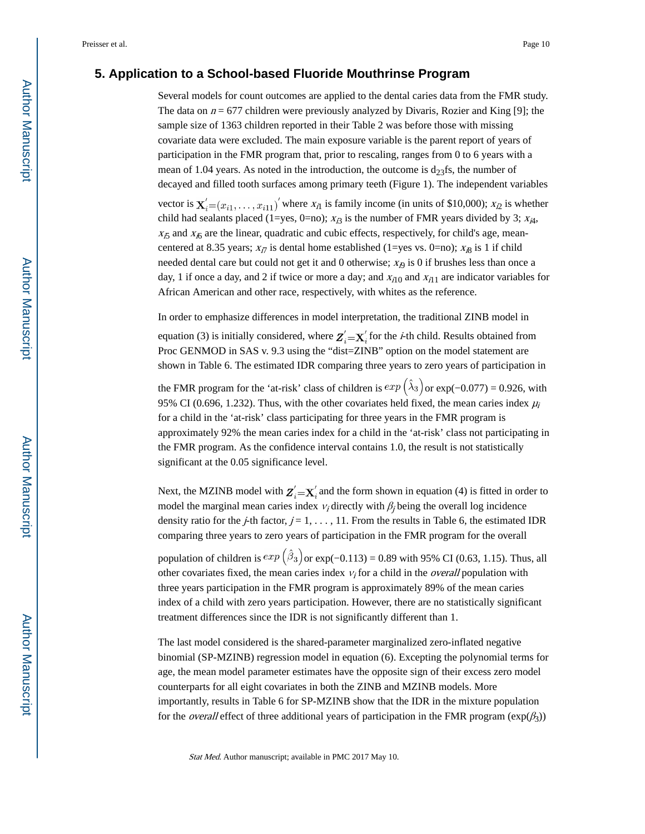#### **5. Application to a School-based Fluoride Mouthrinse Program**

Several models for count outcomes are applied to the dental caries data from the FMR study. The data on  $n = 677$  children were previously analyzed by Divaris, Rozier and King [9]; the sample size of 1363 children reported in their Table 2 was before those with missing covariate data were excluded. The main exposure variable is the parent report of years of participation in the FMR program that, prior to rescaling, ranges from 0 to 6 years with a mean of 1.04 years. As noted in the introduction, the outcome is  $d_{23}$ fs, the number of decayed and filled tooth surfaces among primary teeth (Figure 1). The independent variables vector is  $\mathbf{X}'_i=(x_{i1},\ldots,x_{i11})'$  where  $x_{i1}$  is family income (in units of \$10,000);  $x_{i2}$  is whether child had sealants placed (1=yes, 0=no);  $x_{i3}$  is the number of FMR years divided by 3;  $x_{i4}$ ,  $x_{i5}$  and  $x_{i6}$  are the linear, quadratic and cubic effects, respectively, for child's age, meancentered at 8.35 years;  $x_{i7}$  is dental home established (1=yes vs. 0=no);  $x_{i8}$  is 1 if child needed dental care but could not get it and 0 otherwise;  $x_{\phi}$  is 0 if brushes less than once a day, 1 if once a day, and 2 if twice or more a day; and  $x_{i10}$  and  $x_{i11}$  are indicator variables for African American and other race, respectively, with whites as the reference.

In order to emphasize differences in model interpretation, the traditional ZINB model in

equation (3) is initially considered, where  $Z'_i = X'_i$  for the *i*-th child. Results obtained from Proc GENMOD in SAS v. 9.3 using the "dist=ZINB" option on the model statement are shown in Table 6. The estimated IDR comparing three years to zero years of participation in

the FMR program for the 'at-risk' class of children is  $exp(\hat{\lambda}_3)$  or  $exp(-0.077) = 0.926$ , with 95% CI (0.696, 1.232). Thus, with the other covariates held fixed, the mean caries index  $\mu_i$ for a child in the 'at-risk' class participating for three years in the FMR program is approximately 92% the mean caries index for a child in the 'at-risk' class not participating in the FMR program. As the confidence interval contains 1.0, the result is not statistically significant at the 0.05 significance level.

Next, the MZINB model with  $Z'_i = X'_i$  and the form shown in equation (4) is fitted in order to model the marginal mean caries index  $v_i$  directly with  $\beta_j$  being the overall log incidence density ratio for the *j*-th factor,  $j = 1, \ldots, 11$ . From the results in Table 6, the estimated IDR comparing three years to zero years of participation in the FMR program for the overall

population of children is  $exp(\hat{\beta}_3)$  or  $exp(-0.113) = 0.89$  with 95% CI (0.63, 1.15). Thus, all other covariates fixed, the mean caries index  $v_i$  for a child in the *overall* population with three years participation in the FMR program is approximately 89% of the mean caries index of a child with zero years participation. However, there are no statistically significant treatment differences since the IDR is not significantly different than 1.

The last model considered is the shared-parameter marginalized zero-inflated negative binomial (SP-MZINB) regression model in equation (6). Excepting the polynomial terms for age, the mean model parameter estimates have the opposite sign of their excess zero model counterparts for all eight covariates in both the ZINB and MZINB models. More importantly, results in Table 6 for SP-MZINB show that the IDR in the mixture population for the *overall* effect of three additional years of participation in the FMR program ( $\exp(\beta_3)$ )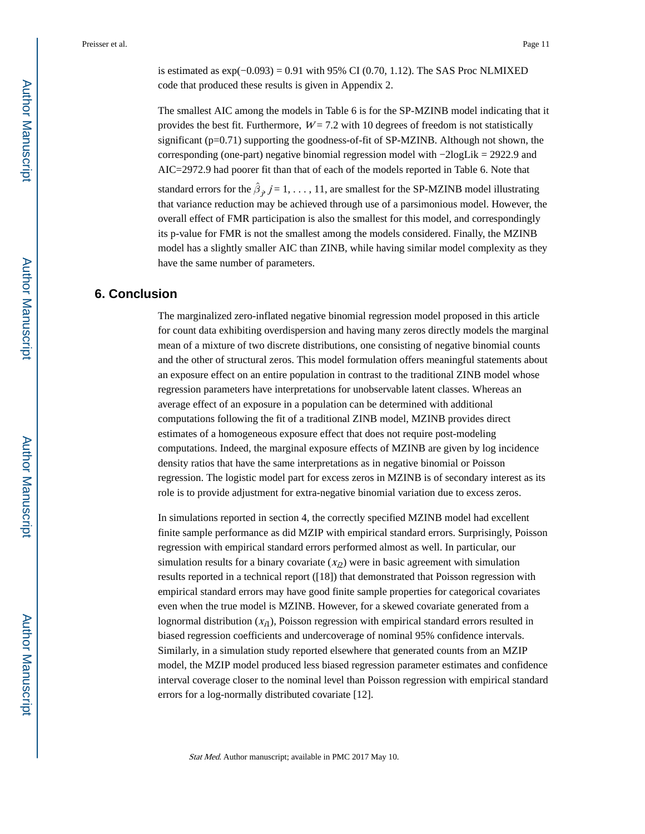is estimated as  $\exp(-0.093) = 0.91$  with 95% CI (0.70, 1.12). The SAS Proc NLMIXED code that produced these results is given in Appendix 2.

The smallest AIC among the models in Table 6 is for the SP-MZINB model indicating that it provides the best fit. Furthermore,  $W = 7.2$  with 10 degrees of freedom is not statistically significant  $(p=0.71)$  supporting the goodness-of-fit of SP-MZINB. Although not shown, the corresponding (one-part) negative binomial regression model with −2logLik = 2922.9 and AIC=2972.9 had poorer fit than that of each of the models reported in Table 6. Note that

standard errors for the  $\hat{\beta}_j$ ,  $j = 1, \ldots, 11$ , are smallest for the SP-MZINB model illustrating that variance reduction may be achieved through use of a parsimonious model. However, the overall effect of FMR participation is also the smallest for this model, and correspondingly its p-value for FMR is not the smallest among the models considered. Finally, the MZINB model has a slightly smaller AIC than ZINB, while having similar model complexity as they have the same number of parameters.

#### **6. Conclusion**

The marginalized zero-inflated negative binomial regression model proposed in this article for count data exhibiting overdispersion and having many zeros directly models the marginal mean of a mixture of two discrete distributions, one consisting of negative binomial counts and the other of structural zeros. This model formulation offers meaningful statements about an exposure effect on an entire population in contrast to the traditional ZINB model whose regression parameters have interpretations for unobservable latent classes. Whereas an average effect of an exposure in a population can be determined with additional computations following the fit of a traditional ZINB model, MZINB provides direct estimates of a homogeneous exposure effect that does not require post-modeling computations. Indeed, the marginal exposure effects of MZINB are given by log incidence density ratios that have the same interpretations as in negative binomial or Poisson regression. The logistic model part for excess zeros in MZINB is of secondary interest as its role is to provide adjustment for extra-negative binomial variation due to excess zeros.

In simulations reported in section 4, the correctly specified MZINB model had excellent finite sample performance as did MZIP with empirical standard errors. Surprisingly, Poisson regression with empirical standard errors performed almost as well. In particular, our simulation results for a binary covariate  $(x<sub>i</sub>)$  were in basic agreement with simulation results reported in a technical report ([18]) that demonstrated that Poisson regression with empirical standard errors may have good finite sample properties for categorical covariates even when the true model is MZINB. However, for a skewed covariate generated from a lognormal distribution  $(x_{i1})$ , Poisson regression with empirical standard errors resulted in biased regression coefficients and undercoverage of nominal 95% confidence intervals. Similarly, in a simulation study reported elsewhere that generated counts from an MZIP model, the MZIP model produced less biased regression parameter estimates and confidence interval coverage closer to the nominal level than Poisson regression with empirical standard errors for a log-normally distributed covariate [12].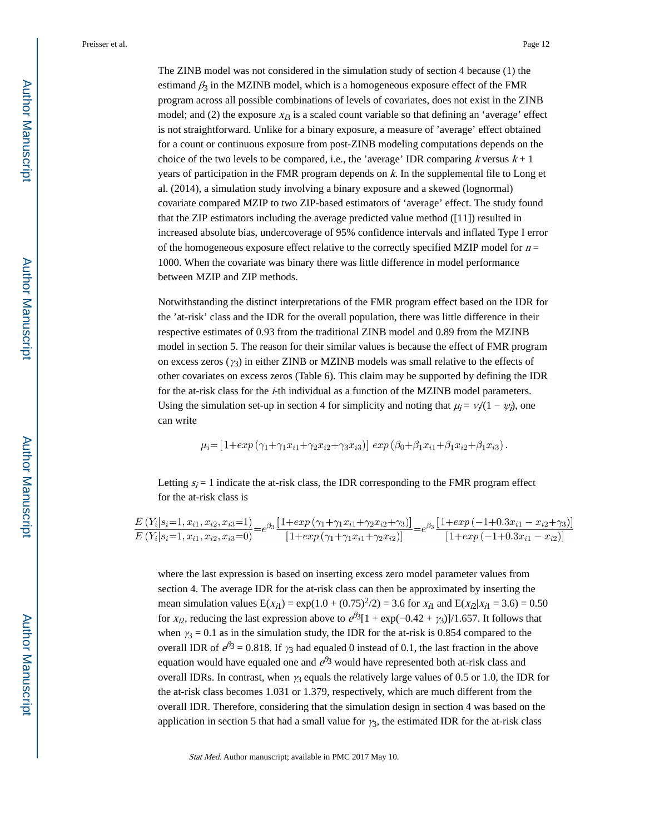The ZINB model was not considered in the simulation study of section 4 because (1) the estimand  $\beta_3$  in the MZINB model, which is a homogeneous exposure effect of the FMR program across all possible combinations of levels of covariates, does not exist in the ZINB model; and (2) the exposure  $x_{i3}$  is a scaled count variable so that defining an 'average' effect is not straightforward. Unlike for a binary exposure, a measure of 'average' effect obtained for a count or continuous exposure from post-ZINB modeling computations depends on the choice of the two levels to be compared, i.e., the 'average' IDR comparing k versus  $k + 1$ years of participation in the FMR program depends on k. In the supplemental file to Long et al. (2014), a simulation study involving a binary exposure and a skewed (lognormal) covariate compared MZIP to two ZIP-based estimators of 'average' effect. The study found that the ZIP estimators including the average predicted value method ([11]) resulted in increased absolute bias, undercoverage of 95% confidence intervals and inflated Type I error of the homogeneous exposure effect relative to the correctly specified MZIP model for  $n =$ 1000. When the covariate was binary there was little difference in model performance between MZIP and ZIP methods.

Notwithstanding the distinct interpretations of the FMR program effect based on the IDR for the 'at-risk' class and the IDR for the overall population, there was little difference in their respective estimates of 0.93 from the traditional ZINB model and 0.89 from the MZINB model in section 5. The reason for their similar values is because the effect of FMR program on excess zeros ( $\gamma_3$ ) in either ZINB or MZINB models was small relative to the effects of other covariates on excess zeros (Table 6). This claim may be supported by defining the IDR for the at-risk class for the *i*-th individual as a function of the MZINB model parameters. Using the simulation set-up in section 4 for simplicity and noting that  $\mu_i = v_i/(1 - \psi_i)$ , one can write

$$
\mu_i = [1 + exp(\gamma_1 + \gamma_1 x_{i1} + \gamma_2 x_{i2} + \gamma_3 x_{i3})] exp(\beta_0 + \beta_1 x_{i1} + \beta_1 x_{i2} + \beta_1 x_{i3}).
$$

Letting  $s_i = 1$  indicate the at-risk class, the IDR corresponding to the FMR program effect for the at-risk class is

$$
\frac{E(Y_i|s_i=1, x_{i1}, x_{i2}, x_{i3}=1)}{E(Y_i|s_i=1, x_{i1}, x_{i2}, x_{i3}=0)} = e^{\beta_3} \frac{\left[1 + \exp\left(\gamma_1 + \gamma_1 x_{i1} + \gamma_2 x_{i2} + \gamma_3\right)\right]}{\left[1 + \exp\left(\gamma_1 + \gamma_1 x_{i1} + \gamma_2 x_{i2}\right)\right]} = e^{\beta_3} \frac{\left[1 + \exp\left(-1 + 0.3 x_{i1} - x_{i2} + \gamma_3\right)\right]}{\left[1 + \exp\left(-1 + 0.3 x_{i1} - x_{i2}\right)\right]}
$$

where the last expression is based on inserting excess zero model parameter values from section 4. The average IDR for the at-risk class can then be approximated by inserting the mean simulation values  $E(x_{i1}) = \exp(1.0 + (0.75)^{2}/2) = 3.6$  for  $x_{i1}$  and  $E(x_{i2}|x_{i1} = 3.6) = 0.50$ for  $x_{i2}$ , reducing the last expression above to  $e^{i\beta}$ [1 + exp(-0.42 +  $\gamma$ <sub>3</sub>)]/1.657. It follows that when  $\gamma_3 = 0.1$  as in the simulation study, the IDR for the at-risk is 0.854 compared to the overall IDR of  $e^{\beta}$ 3 = 0.818. If  $\gamma_3$  had equaled 0 instead of 0.1, the last fraction in the above equation would have equaled one and  $e^{\beta_3}$  would have represented both at-risk class and overall IDRs. In contrast, when  $\gamma_3$  equals the relatively large values of 0.5 or 1.0, the IDR for the at-risk class becomes 1.031 or 1.379, respectively, which are much different from the overall IDR. Therefore, considering that the simulation design in section 4 was based on the application in section 5 that had a small value for  $\gamma_3$ , the estimated IDR for the at-risk class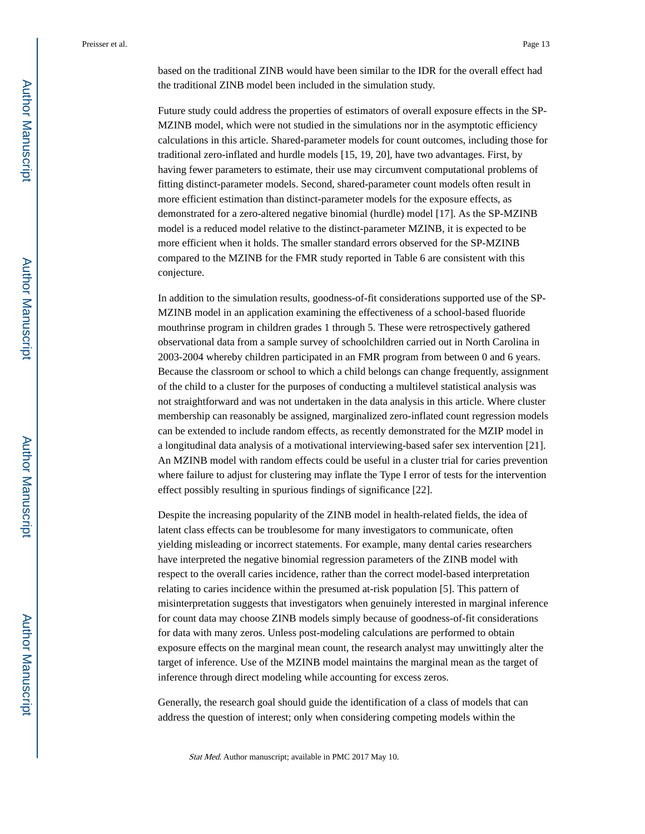based on the traditional ZINB would have been similar to the IDR for the overall effect had the traditional ZINB model been included in the simulation study.

Future study could address the properties of estimators of overall exposure effects in the SP-MZINB model, which were not studied in the simulations nor in the asymptotic efficiency calculations in this article. Shared-parameter models for count outcomes, including those for traditional zero-inflated and hurdle models [15, 19, 20], have two advantages. First, by having fewer parameters to estimate, their use may circumvent computational problems of fitting distinct-parameter models. Second, shared-parameter count models often result in more efficient estimation than distinct-parameter models for the exposure effects, as demonstrated for a zero-altered negative binomial (hurdle) model [17]. As the SP-MZINB model is a reduced model relative to the distinct-parameter MZINB, it is expected to be more efficient when it holds. The smaller standard errors observed for the SP-MZINB compared to the MZINB for the FMR study reported in Table 6 are consistent with this conjecture.

In addition to the simulation results, goodness-of-fit considerations supported use of the SP-MZINB model in an application examining the effectiveness of a school-based fluoride mouthrinse program in children grades 1 through 5. These were retrospectively gathered observational data from a sample survey of schoolchildren carried out in North Carolina in 2003-2004 whereby children participated in an FMR program from between 0 and 6 years. Because the classroom or school to which a child belongs can change frequently, assignment of the child to a cluster for the purposes of conducting a multilevel statistical analysis was not straightforward and was not undertaken in the data analysis in this article. Where cluster membership can reasonably be assigned, marginalized zero-inflated count regression models can be extended to include random effects, as recently demonstrated for the MZIP model in a longitudinal data analysis of a motivational interviewing-based safer sex intervention [21]. An MZINB model with random effects could be useful in a cluster trial for caries prevention where failure to adjust for clustering may inflate the Type I error of tests for the intervention effect possibly resulting in spurious findings of significance [22].

Despite the increasing popularity of the ZINB model in health-related fields, the idea of latent class effects can be troublesome for many investigators to communicate, often yielding misleading or incorrect statements. For example, many dental caries researchers have interpreted the negative binomial regression parameters of the ZINB model with respect to the overall caries incidence, rather than the correct model-based interpretation relating to caries incidence within the presumed at-risk population [5]. This pattern of misinterpretation suggests that investigators when genuinely interested in marginal inference for count data may choose ZINB models simply because of goodness-of-fit considerations for data with many zeros. Unless post-modeling calculations are performed to obtain exposure effects on the marginal mean count, the research analyst may unwittingly alter the target of inference. Use of the MZINB model maintains the marginal mean as the target of inference through direct modeling while accounting for excess zeros.

Generally, the research goal should guide the identification of a class of models that can address the question of interest; only when considering competing models within the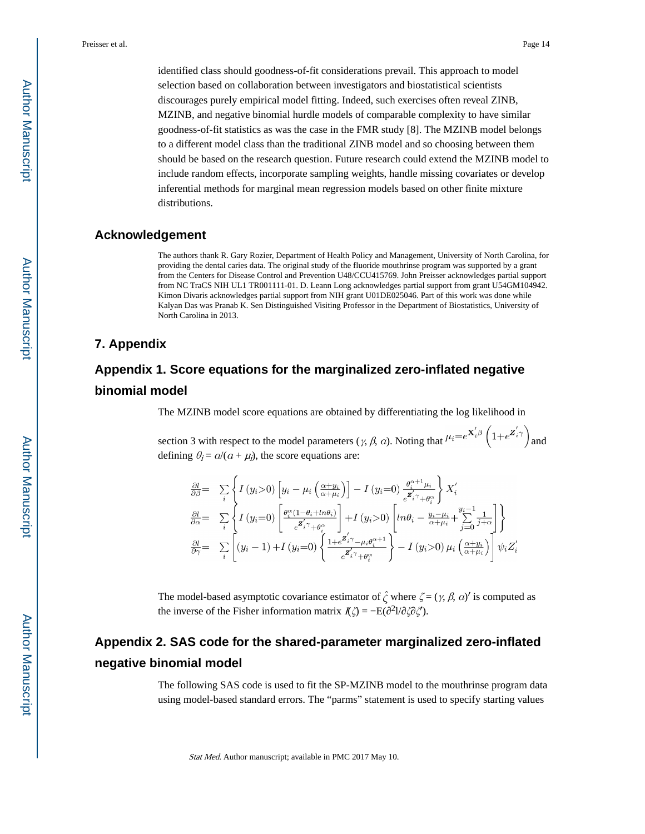identified class should goodness-of-fit considerations prevail. This approach to model selection based on collaboration between investigators and biostatistical scientists discourages purely empirical model fitting. Indeed, such exercises often reveal ZINB, MZINB, and negative binomial hurdle models of comparable complexity to have similar goodness-of-fit statistics as was the case in the FMR study [8]. The MZINB model belongs to a different model class than the traditional ZINB model and so choosing between them should be based on the research question. Future research could extend the MZINB model to include random effects, incorporate sampling weights, handle missing covariates or develop inferential methods for marginal mean regression models based on other finite mixture distributions.

#### **Acknowledgement**

The authors thank R. Gary Rozier, Department of Health Policy and Management, University of North Carolina, for providing the dental caries data. The original study of the fluoride mouthrinse program was supported by a grant from the Centers for Disease Control and Prevention U48/CCU415769. John Preisser acknowledges partial support from NC TraCS NIH UL1 TR001111-01. D. Leann Long acknowledges partial support from grant U54GM104942. Kimon Divaris acknowledges partial support from NIH grant U01DE025046. Part of this work was done while Kalyan Das was Pranab K. Sen Distinguished Visiting Professor in the Department of Biostatistics, University of North Carolina in 2013.

#### **7. Appendix**

## **Appendix 1. Score equations for the marginalized zero-inflated negative binomial model**

The MZINB model score equations are obtained by differentiating the log likelihood in

section 3 with respect to the model parameters ( $\gamma$ ,  $\beta$ ,  $\alpha$ ). Noting that  $\mu_i = e^{X'_i \beta} \left(1 + e^{Z'_i \gamma}\right)$  and defining  $\theta_i = a/(a + \mu_i)$ , the score equations are:

$$
\frac{\partial l}{\partial \beta} = \sum_{i} \left\{ I(y_i > 0) \left[ y_i - \mu_i \left( \frac{\alpha + y_i}{\alpha + \mu_i} \right) \right] - I(y_i = 0) \frac{\theta_i^{\alpha + 1} \mu_i}{\epsilon^2 i \gamma + \theta_i^{\alpha}} \right\} X_i'
$$
\n
$$
\frac{\partial l}{\partial \alpha} = \sum_{i} \left\{ I(y_i = 0) \left[ \frac{\theta_i^{\alpha} (1 - \theta_i + \ln \theta_i)}{\epsilon^2 i \gamma + \theta_i^{\alpha}} \right] + I(y_i > 0) \left[ \ln \theta_i - \frac{y_i - \mu_i}{\alpha + \mu_i} + \sum_{j=0}^{y_i - 1} \frac{1}{j + \alpha} \right] \right\}
$$
\n
$$
\frac{\partial l}{\partial \gamma} = \sum_{i} \left[ (y_i - 1) + I(y_i = 0) \left\{ \frac{1 + \epsilon^2 i \gamma - \mu_i \theta_i^{\alpha + 1}}{\epsilon^2 i \gamma + \theta_i^{\alpha}} \right\} - I(y_i > 0) \mu_i \left( \frac{\alpha + y_i}{\alpha + \mu_i} \right) \right] \psi_i Z_i'
$$

The model-based asymptotic covariance estimator of  $\hat{\zeta}$  where  $\zeta = (\gamma, \beta, \alpha)'$  is computed as the inverse of the Fisher information matrix  $I(\zeta) = -E(\zeta^2)/\zeta(\zeta)$ .

## **Appendix 2. SAS code for the shared-parameter marginalized zero-inflated negative binomial model**

The following SAS code is used to fit the SP-MZINB model to the mouthrinse program data using model-based standard errors. The "parms" statement is used to specify starting values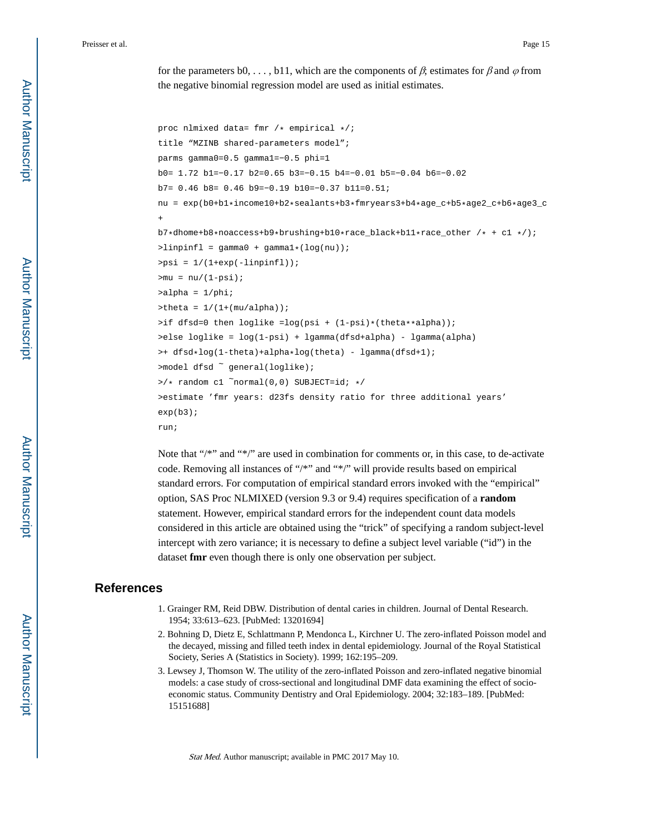for the parameters b0, ..., b11, which are the components of  $\beta$ ; estimates for  $\beta$  and  $\varphi$  from the negative binomial regression model are used as initial estimates.

```
proc nlmixed data= fmr /* empirical */ititle "MZINB shared-parameters model";
parms gamma0=0.5 gamma1=−0.5 phi=1
b0= 1.72 b1=−0.17 b2=0.65 b3=−0.15 b4=−0.01 b5=−0.04 b6=−0.02
b7= 0.46 b8= 0.46 b9=−0.19 b10=−0.37 b11=0.51;
nu = exp(b0+b1*income10+b2*sealants+b3*Imryears3+b4*age_c+b5*age2_c+b6*age3_c+
b7*dhome+b8*noaccess+b9*brushing+b10*race_black+b11*race_other /* + c1 */);
\text{1}inpinfl = gamma0 + gamma1*(log(nu));
>psi = 1/(1+exp(-linpinfl));
>mu = nu/(1-psi);
>alpha = 1/phi;
>theta = 1/(1+(mu/a1pha));
>if dfsd=0 then loglike =log(psi + (1-psi)*(theta**alpha));
>else loglike = log(1-psi) + lgamma(dfsd+alpha) - lgamma(alpha)
>+ dfsd*log(1-theta)+alpha*log(theta) - lgamma(dfsd+1);
>model dfsd \tilde{ } general(loglike);
>\!\!/\ast random cl ^normal(0,0) SUBJECT=id; */
>estimate 'fmr years: d23fs density ratio for three additional years' 
exp(b3);
run;
```
Note that "/\*" and "\*/" are used in combination for comments or, in this case, to de-activate code. Removing all instances of "/\*" and "\*/" will provide results based on empirical standard errors. For computation of empirical standard errors invoked with the "empirical" option, SAS Proc NLMIXED (version 9.3 or 9.4) requires specification of a **random**  statement. However, empirical standard errors for the independent count data models considered in this article are obtained using the "trick" of specifying a random subject-level intercept with zero variance; it is necessary to define a subject level variable ("id") in the dataset **fmr** even though there is only one observation per subject.

#### **References**

- 1. Grainger RM, Reid DBW. Distribution of dental caries in children. Journal of Dental Research. 1954; 33:613–623. [PubMed: 13201694]
- 2. Bohning D, Dietz E, Schlattmann P, Mendonca L, Kirchner U. The zero-inflated Poisson model and the decayed, missing and filled teeth index in dental epidemiology. Journal of the Royal Statistical Society, Series A (Statistics in Society). 1999; 162:195–209.
- 3. Lewsey J, Thomson W. The utility of the zero-inflated Poisson and zero-inflated negative binomial models: a case study of cross-sectional and longitudinal DMF data examining the effect of socioeconomic status. Community Dentistry and Oral Epidemiology. 2004; 32:183–189. [PubMed: 15151688]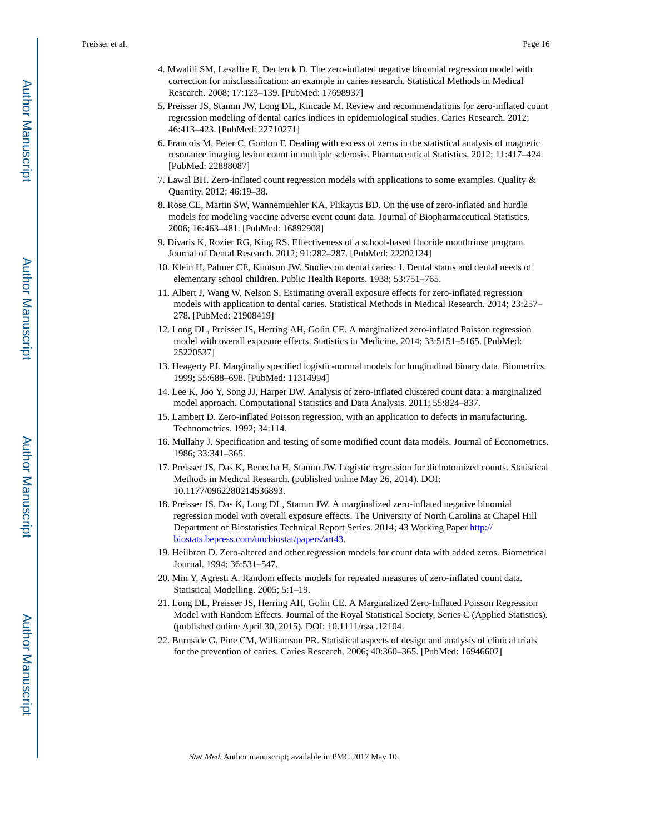- 4. Mwalili SM, Lesaffre E, Declerck D. The zero-inflated negative binomial regression model with correction for misclassification: an example in caries research. Statistical Methods in Medical Research. 2008; 17:123–139. [PubMed: 17698937]
- 5. Preisser JS, Stamm JW, Long DL, Kincade M. Review and recommendations for zero-inflated count regression modeling of dental caries indices in epidemiological studies. Caries Research. 2012; 46:413–423. [PubMed: 22710271]
- 6. Francois M, Peter C, Gordon F. Dealing with excess of zeros in the statistical analysis of magnetic resonance imaging lesion count in multiple sclerosis. Pharmaceutical Statistics. 2012; 11:417–424. [PubMed: 22888087]
- 7. Lawal BH. Zero-inflated count regression models with applications to some examples. Quality & Quantity. 2012; 46:19–38.
- 8. Rose CE, Martin SW, Wannemuehler KA, Plikaytis BD. On the use of zero-inflated and hurdle models for modeling vaccine adverse event count data. Journal of Biopharmaceutical Statistics. 2006; 16:463–481. [PubMed: 16892908]
- 9. Divaris K, Rozier RG, King RS. Effectiveness of a school-based fluoride mouthrinse program. Journal of Dental Research. 2012; 91:282–287. [PubMed: 22202124]
- 10. Klein H, Palmer CE, Knutson JW. Studies on dental caries: I. Dental status and dental needs of elementary school children. Public Health Reports. 1938; 53:751–765.
- 11. Albert J, Wang W, Nelson S. Estimating overall exposure effects for zero-inflated regression models with application to dental caries. Statistical Methods in Medical Research. 2014; 23:257– 278. [PubMed: 21908419]
- 12. Long DL, Preisser JS, Herring AH, Golin CE. A marginalized zero-inflated Poisson regression model with overall exposure effects. Statistics in Medicine. 2014; 33:5151–5165. [PubMed: 25220537]
- 13. Heagerty PJ. Marginally specified logistic-normal models for longitudinal binary data. Biometrics. 1999; 55:688–698. [PubMed: 11314994]
- 14. Lee K, Joo Y, Song JJ, Harper DW. Analysis of zero-inflated clustered count data: a marginalized model approach. Computational Statistics and Data Analysis. 2011; 55:824–837.
- 15. Lambert D. Zero-inflated Poisson regression, with an application to defects in manufacturing. Technometrics. 1992; 34:114.
- 16. Mullahy J. Specification and testing of some modified count data models. Journal of Econometrics. 1986; 33:341–365.
- 17. Preisser JS, Das K, Benecha H, Stamm JW. Logistic regression for dichotomized counts. Statistical Methods in Medical Research. (published online May 26, 2014). DOI: 10.1177/0962280214536893.
- 18. Preisser JS, Das K, Long DL, Stamm JW. A marginalized zero-inflated negative binomial regression model with overall exposure effects. The University of North Carolina at Chapel Hill Department of Biostatistics Technical Report Series. 2014; 43 Working Paper [http://](http://biostats.bepress.com/uncbiostat/papers/art43) [biostats.bepress.com/uncbiostat/papers/art43.](http://biostats.bepress.com/uncbiostat/papers/art43)
- 19. Heilbron D. Zero-altered and other regression models for count data with added zeros. Biometrical Journal. 1994; 36:531–547.
- 20. Min Y, Agresti A. Random effects models for repeated measures of zero-inflated count data. Statistical Modelling. 2005; 5:1–19.
- 21. Long DL, Preisser JS, Herring AH, Golin CE. A Marginalized Zero-Inflated Poisson Regression Model with Random Effects. Journal of the Royal Statistical Society, Series C (Applied Statistics). (published online April 30, 2015). DOI: 10.1111/rssc.12104.
- 22. Burnside G, Pine CM, Williamson PR. Statistical aspects of design and analysis of clinical trials for the prevention of caries. Caries Research. 2006; 40:360–365. [PubMed: 16946602]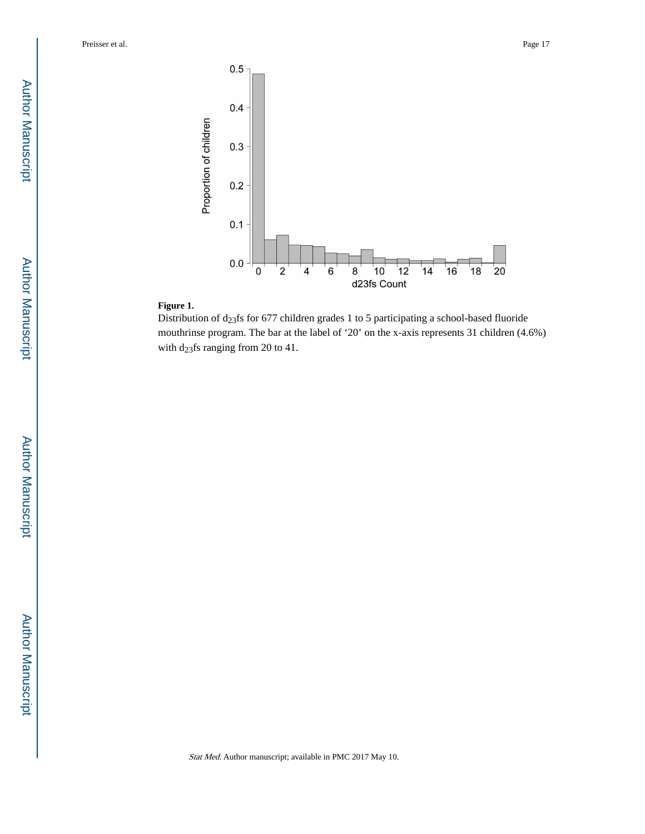

#### **Figure 1.**

Distribution of  $d_{23}$ fs for 677 children grades 1 to 5 participating a school-based fluoride mouthrinse program. The bar at the label of '20' on the x-axis represents 31 children (4.6%) with  $d_{23}$ fs ranging from 20 to 41.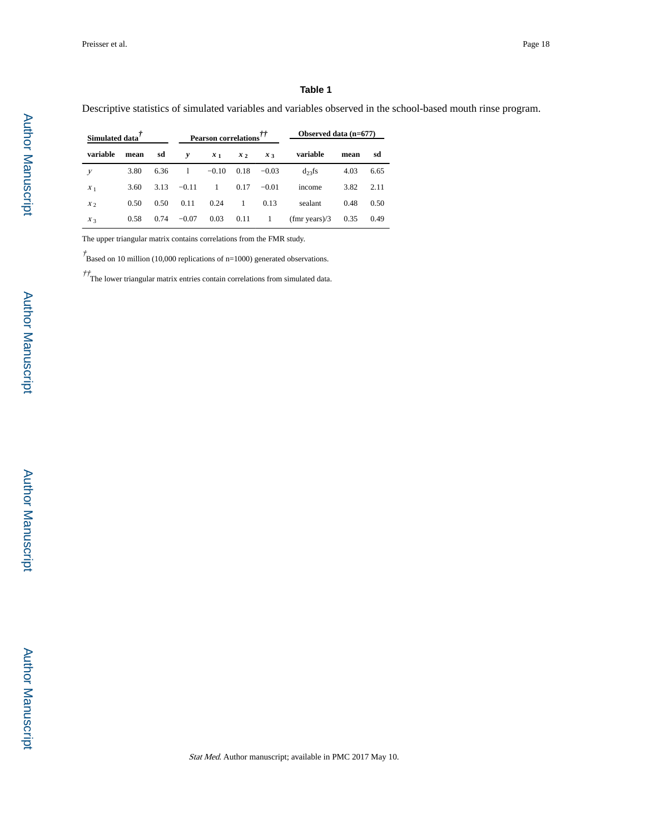#### **Table 1**

Descriptive statistics of simulated variables and variables observed in the school-based mouth rinse program.

| Simulated data' |      |      | Pearson correlations <sup>††</sup> |                |                 | Observed data $(n=677)$ |                              |      |      |
|-----------------|------|------|------------------------------------|----------------|-----------------|-------------------------|------------------------------|------|------|
| variable        | mean | sd   | v                                  | x <sub>1</sub> | x <sub>2</sub>  | $x_{3}$                 | variable                     | mean | sd   |
| У               | 3.80 | 6.36 |                                    |                |                 | $-0.10$ $0.18$ $-0.03$  | $d_{23}$ fs                  | 4.03 | 6.65 |
| $X_1$           | 3.60 | 3.13 | $-0.11$                            | $\overline{1}$ |                 | $0.17 -0.01$            | income                       | 3.82 | 2.11 |
| X <sub>2</sub>  | 0.50 | 0.50 | 0.11                               | 0.24           | -1              | 0.13                    | sealant                      | 0.48 | 0.50 |
| $X_3$           | 0.58 | 0.74 | $-0.07$                            | 0.03           | $0.11 \qquad 1$ |                         | $(fmr \text{ years})/3$ 0.35 |      | 0.49 |

The upper triangular matrix contains correlations from the FMR study.

 $\dot{\mathcal{T}}$ Based on 10 million (10,000 replications of n=1000) generated observations.

 $\ddot{\mathcal{T}}$ .<br>The lower triangular matrix entries contain correlations from simulated data.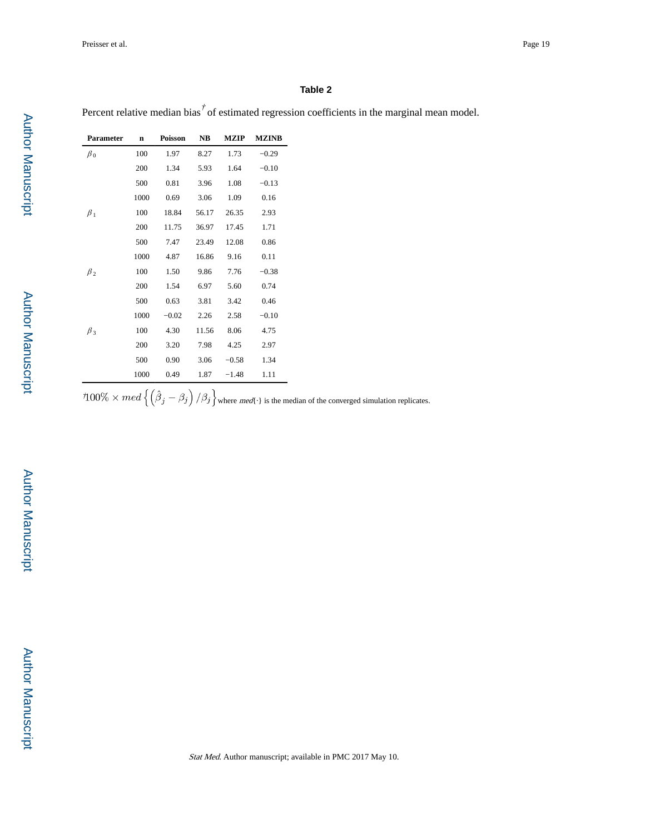Percent relative median bias<sup> $\vec{t}$ </sup> of estimated regression coefficients in the marginal mean model.

| <b>Parameter</b> | $\mathbf n$ | <b>Poisson</b> | NB    | <b>MZIP</b> | <b>MZINB</b> |
|------------------|-------------|----------------|-------|-------------|--------------|
| $\beta_0$        | 100         | 1.97           | 8.27  | 1.73        | $-0.29$      |
|                  | 200         | 1.34           | 5.93  | 1.64        | $-0.10$      |
|                  | 500         | 0.81           | 3.96  | 1.08        | $-0.13$      |
|                  | 1000        | 0.69           | 3.06  | 1.09        | 0.16         |
| $\beta_1$        | 100         | 18.84          | 56.17 | 26.35       | 2.93         |
|                  | 200         | 11.75          | 36.97 | 17.45       | 1.71         |
|                  | 500         | 7.47           | 23.49 | 12.08       | 0.86         |
|                  | 1000        | 4.87           | 16.86 | 9.16        | 0.11         |
| $\beta_2$        | 100         | 1.50           | 9.86  | 7.76        | $-0.38$      |
|                  | 200         | 1.54           | 6.97  | 5.60        | 0.74         |
|                  | 500         | 0.63           | 3.81  | 3.42        | 0.46         |
|                  | 1000        | $-0.02$        | 2.26  | 2.58        | $-0.10$      |
| $\beta_3$        | 100         | 4.30           | 11.56 | 8.06        | 4.75         |
|                  | 200         | 3.20           | 7.98  | 4.25        | 2.97         |
|                  | 500         | 0.90           | 3.06  | $-0.58$     | 1.34         |
|                  | 1000        | 0.49           | 1.87  | $-1.48$     | 1.11         |

 $\partial^2 100\% \times med \{ (\beta_j - \beta_j) / \beta_j \}$  where med{ } is the median of the converged simulation replicates.

 Author ManuscriptAuthor Manuscript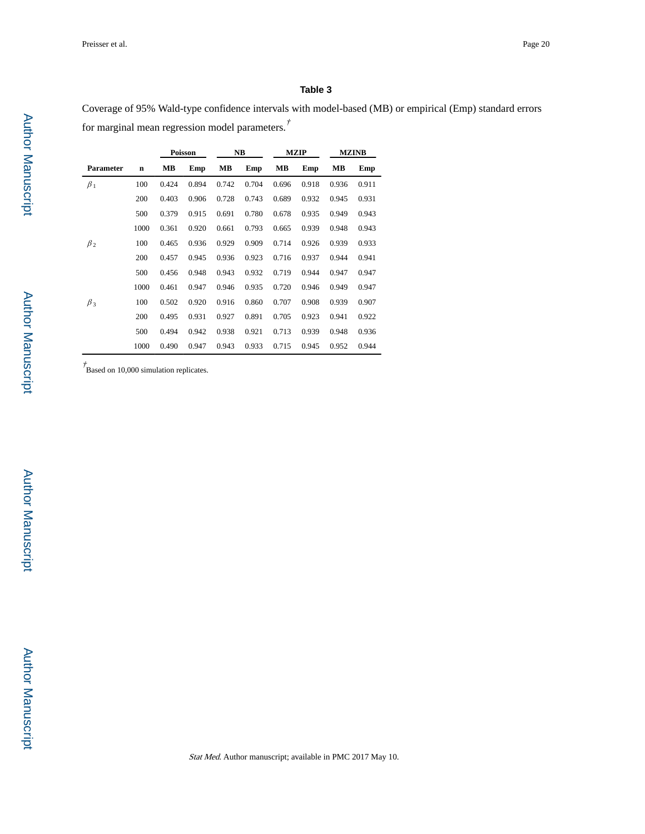Coverage of 95% Wald-type confidence intervals with model-based (MB) or empirical (Emp) standard errors for marginal mean regression model parameters.†

|           |             | Poisson |       |       | NB    | <b>MZIP</b> |       | <b>MZINB</b> |       |
|-----------|-------------|---------|-------|-------|-------|-------------|-------|--------------|-------|
| Parameter | $\mathbf n$ | MВ      | Emp   | MВ    | Emp   | MВ          | Emp   | MВ           | Emp   |
| $\beta_1$ | 100         | 0.424   | 0.894 | 0.742 | 0.704 | 0.696       | 0.918 | 0.936        | 0.911 |
|           | 200         | 0.403   | 0.906 | 0.728 | 0.743 | 0.689       | 0.932 | 0.945        | 0.931 |
|           | 500         | 0.379   | 0.915 | 0.691 | 0.780 | 0.678       | 0.935 | 0.949        | 0.943 |
|           | 1000        | 0.361   | 0.920 | 0.661 | 0.793 | 0.665       | 0.939 | 0.948        | 0.943 |
| $\beta_2$ | 100         | 0.465   | 0.936 | 0.929 | 0.909 | 0.714       | 0.926 | 0.939        | 0.933 |
|           | 200         | 0.457   | 0.945 | 0.936 | 0.923 | 0.716       | 0.937 | 0.944        | 0.941 |
|           | 500         | 0.456   | 0.948 | 0.943 | 0.932 | 0.719       | 0.944 | 0.947        | 0.947 |
|           | 1000        | 0.461   | 0.947 | 0.946 | 0.935 | 0.720       | 0.946 | 0.949        | 0.947 |
| $\beta_3$ | 100         | 0.502   | 0.920 | 0.916 | 0.860 | 0.707       | 0.908 | 0.939        | 0.907 |
|           | 200         | 0.495   | 0.931 | 0.927 | 0.891 | 0.705       | 0.923 | 0.941        | 0.922 |
|           | 500         | 0.494   | 0.942 | 0.938 | 0.921 | 0.713       | 0.939 | 0.948        | 0.936 |
|           | 1000        | 0.490   | 0.947 | 0.943 | 0.933 | 0.715       | 0.945 | 0.952        | 0.944 |

 $\dot{P}$ Based on 10,000 simulation replicates.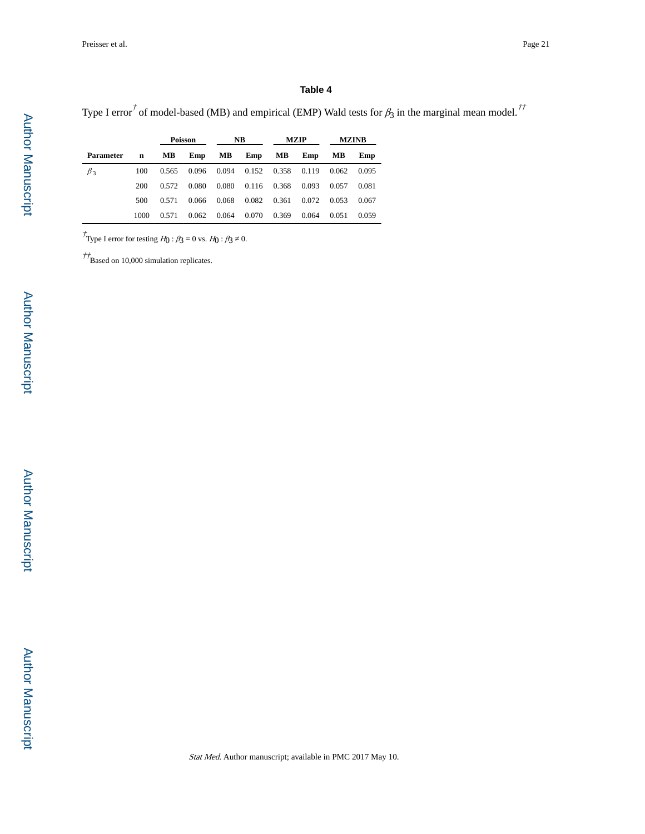Type I error<sup>†</sup> of model-based (MB) and empirical (EMP) Wald tests for  $\beta_3$  in the marginal mean model.<sup>††</sup>

|                  |             | Poisson |       | NB.   |       | <b>MZIP</b> |       | <b>MZINB</b> |       |
|------------------|-------------|---------|-------|-------|-------|-------------|-------|--------------|-------|
| <b>Parameter</b> | $\mathbf n$ | MВ      | Emp   | MВ    | Emp   | MВ          | Emp   | MВ           | Emp   |
| $\beta_3$        | 100         | 0.565   | 0.096 | 0.094 | 0.152 | 0.358       | 0.119 | 0.062        | 0.095 |
|                  | 200         | 0.572   | 0.080 | 0.080 | 0.116 | 0.368       | 0.093 | 0.057        | 0.081 |
|                  | 500         | 0.571   | 0.066 | 0.068 | 0.082 | 0.361       | 0.072 | 0.053        | 0.067 |
|                  | 1000        | 0.571   | 0.062 | 0.064 | 0.070 | 0.369       | 0.064 | 0.051        | 0.059 |

<sup>†</sup>Type I error for testing  $H_0: \beta_3 = 0$  vs.  $H_0: \beta_3 = 0$ .

 $\frac{\partial^2 f}{\partial t^2}$  Based on 10,000 simulation replicates.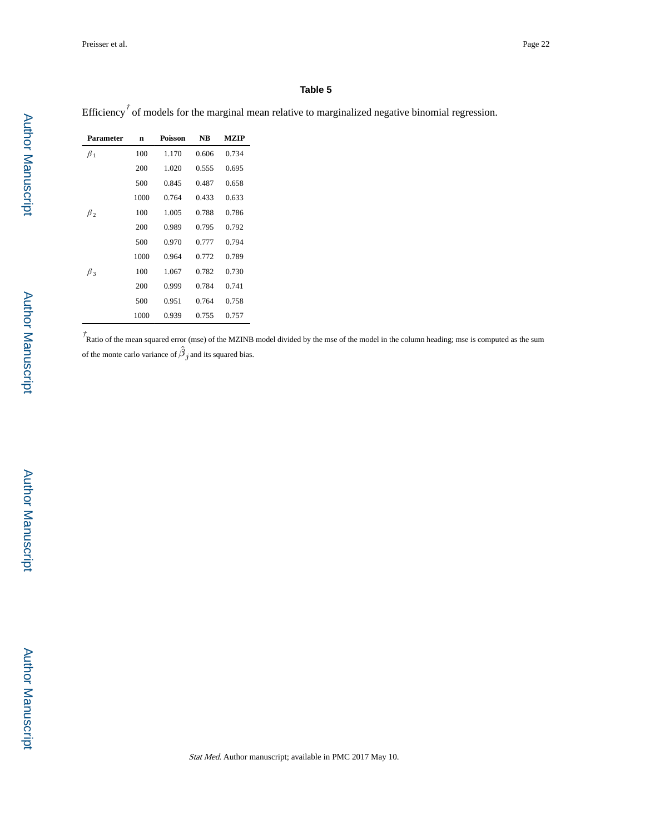Efficiency<sup> $\dot{\tau}$ </sup> of models for the marginal mean relative to marginalized negative binomial regression.

| Parameter | n    | <b>Poisson</b> | <b>NB</b> | <b>MZIP</b> |
|-----------|------|----------------|-----------|-------------|
| $\beta_1$ | 100  | 1.170          | 0.606     | 0.734       |
|           | 200  | 1.020          | 0.555     | 0.695       |
|           | 500  | 0.845          | 0.487     | 0.658       |
|           | 1000 | 0.764          | 0.433     | 0.633       |
| $\beta$   | 100  | 1.005          | 0.788     | 0.786       |
|           | 200  | 0.989          | 0.795     | 0.792       |
|           | 500  | 0.970          | 0.777     | 0.794       |
|           | 1000 | 0.964          | 0.772     | 0.789       |
| $\beta$ 3 | 100  | 1.067          | 0.782     | 0.730       |
|           | 200  | 0.999          | 0.784     | 0.741       |
|           | 500  | 0.951          | 0.764     | 0.758       |
|           | 1000 | 0.939          | 0.755     | 0.757       |

 $\dot{\tau}$ Ratio of the mean squared error (mse) of the MZINB model divided by the mse of the model in the column heading; mse is computed as the sum of the monte carlo variance of  $\hat{\beta}_j$  and its squared bias.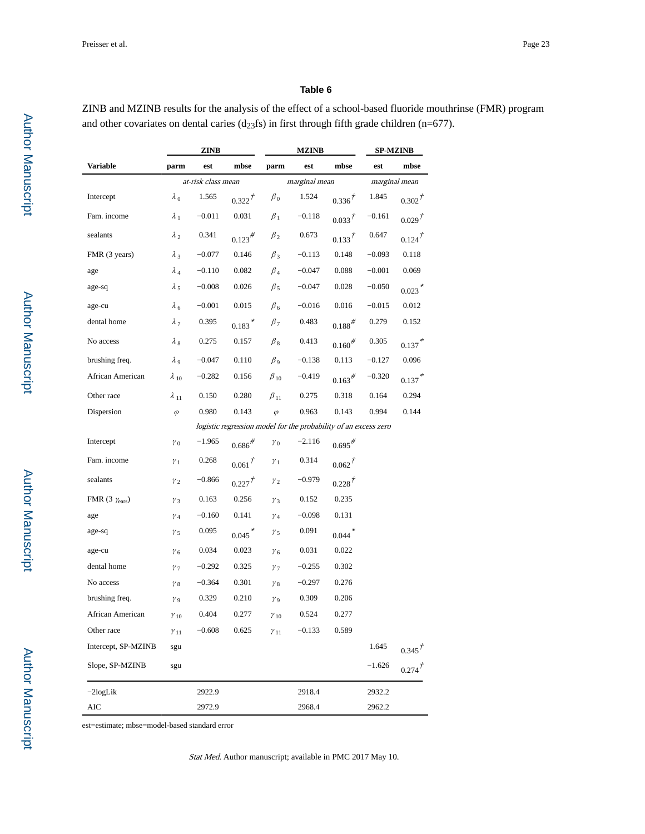ZINB and MZINB results for the analysis of the effect of a school-based fluoride mouthrinse (FMR) program and other covariates on dental caries ( $d_{23}$ fs) in first through fifth grade children (n=677).

|                                 | ZINB           |                    |                      |                       | <b>MZINB</b>                                                    | SP-MZINB             |          |                      |
|---------------------------------|----------------|--------------------|----------------------|-----------------------|-----------------------------------------------------------------|----------------------|----------|----------------------|
| Variable                        | parm           | est                | mbse                 | parm                  | est                                                             | mbse                 | est      | mbse                 |
|                                 |                | at-risk class mean |                      |                       | marginal mean                                                   |                      |          | marginal mean        |
| Intercept                       | $\lambda_0$    | 1.565              | $0.322^{t}$          | $\beta_0$             | 1.524                                                           | $0.336^{T}$          | 1.845    | $0.302^{T}$          |
| Fam. income                     | $\lambda_1$    | $-0.011$           | 0.031                | $\beta_1$             | $-0.118$                                                        | $0.033^{f}$          | $-0.161$ | $0.029^{+}$          |
| sealants                        | $\lambda_2$    | 0.341              | $0.123^{#}$          | $\beta_2$             | 0.673                                                           | $0.133^{t}$          | 0.647    | $0.124$ <sup>†</sup> |
| FMR (3 years)                   | $\lambda_3$    | $-0.077$           | 0.146                | $\beta_3$             | $-0.113$                                                        | 0.148                | $-0.093$ | 0.118                |
| age                             | $\lambda_4$    | $-0.110$           | 0.082                | $\beta_4$             | $-0.047$                                                        | 0.088                | $-0.001$ | 0.069                |
| age-sq                          | $\lambda$ 5    | $-0.008$           | 0.026                | $\beta_5$             | $-0.047$                                                        | 0.028                | $-0.050$ | $0.023$ <sup>*</sup> |
| age-cu                          | $\lambda_6$    | $-0.001$           | 0.015                | $\beta_6$             | $-0.016$                                                        | 0.016                | $-0.015$ | 0.012                |
| dental home                     | $\lambda_{7}$  | 0.395              | $0.183$ <sup>*</sup> | $\beta_7$             | 0.483                                                           | $0.188^{#}$          | 0.279    | 0.152                |
| No access                       | $\lambda_{8}$  | 0.275              | 0.157                | $\beta_8$             | 0.413                                                           | $0.160^{#}$          | 0.305    | 0.137                |
| brushing freq.                  | $\lambda$ 9    | $-0.047$           | 0.110                | $\beta_{9}$           | $-0.138$                                                        | 0.113                | $-0.127$ | 0.096                |
| African American                | $\lambda_{10}$ | $-0.282$           | 0.156                | $\beta_{10}$          | $-0.419$                                                        | $0.163^{#}$          | $-0.320$ | $0.137$ <sup>*</sup> |
| Other race                      | $\lambda_{11}$ | 0.150              | 0.280                | $\beta_{11}$          | 0.275                                                           | 0.318                | 0.164    | 0.294                |
| Dispersion                      | $\varphi$      | 0.980              | 0.143                | $\varphi$             | 0.963                                                           | 0.143                | 0.994    | 0.144                |
|                                 |                |                    |                      |                       | logistic regression model for the probability of an excess zero |                      |          |                      |
| Intercept                       | $\gamma_0$     | $-1.965$           | $0.686^{#}$          | $\gamma_0$            | $-2.116$                                                        | $0.695$ <sup>#</sup> |          |                      |
| Fam. income                     | $\gamma_1$     | 0.268              | $0.061^{T}$          | $\gamma_1$            | 0.314                                                           | $0.062^{t}$          |          |                      |
| sealants                        | $\gamma_2$     | $-0.866$           | $0.227^{1}$          | $\gamma_2$            | $-0.979$                                                        | $0.228^{j^2}$        |          |                      |
| FMR (3 $\gamma_{\text{ears}}$ ) | $\nu_3$        | 0.163              | 0.256                | $\gamma_3$            | 0.152                                                           | 0.235                |          |                      |
| age                             | $\gamma_4$     | $-0.160$           | 0.141                | $\gamma_4$            | $-0.098$                                                        | 0.131                |          |                      |
| age-sq                          | $\gamma_{5}$   | 0.095              | $0.045$ <sup>*</sup> | $\gamma_{5}$          | 0.091                                                           | $0.044$ <sup>*</sup> |          |                      |
| age-cu                          | $\gamma_{6}$   | 0.034              | 0.023                | $\gamma_{6}$          | 0.031                                                           | 0.022                |          |                      |
| dental home                     | $\gamma_{7}$   | $-0.292$           | 0.325                | $\gamma$ <sub>7</sub> | $-0.255$                                                        | 0.302                |          |                      |
| No access                       | $\gamma_{8}$   | $-0.364$           | 0.301                | $\gamma_{8}$          | $-0.297$                                                        | 0.276                |          |                      |
| brushing freq.                  | $\gamma_9$     | 0.329              | 0.210                | $\gamma_{9}$          | 0.309                                                           | 0.206                |          |                      |
| African American                | $\gamma_{10}$  | 0.404              | 0.277                | $\gamma_{10}$         | 0.524                                                           | 0.277                |          |                      |
| Other race                      | $\gamma_{11}$  | $-0.608$           | 0.625                | $\gamma_{11}$         | $-0.133$                                                        | 0.589                |          |                      |
| Intercept, SP-MZINB             | sgu            |                    |                      |                       |                                                                 |                      | 1.645    | $0.345^{7}$          |
| Slope, SP-MZINB                 | sgu            |                    |                      |                       |                                                                 |                      | $-1.626$ | $0.274^{t}$          |
| $-2$ logLik                     |                | 2922.9             |                      |                       | 2918.4                                                          |                      | 2932.2   |                      |
| AIC                             |                | 2972.9             |                      |                       | 2968.4                                                          |                      | 2962.2   |                      |

est=estimate; mbse=model-based standard error